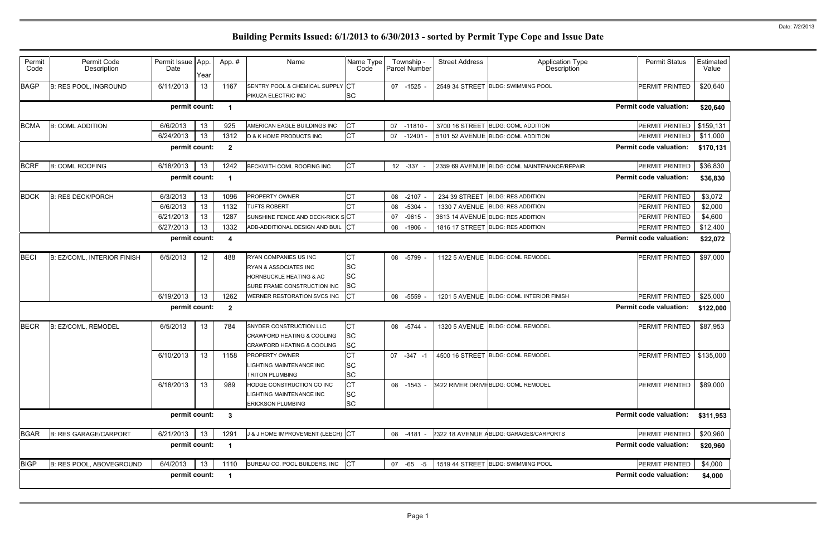| Permit<br>Code | Permit Code<br>Description         | Permit Issue App.<br>Date | Year | App.#                | Name                                                                                                                           | Name Type<br>Code                         | Township -<br>Parcel Number | <b>Street Address</b> | <b>Application Type</b><br>Description       | <b>Permit Status</b>          | Estimated<br>Value |
|----------------|------------------------------------|---------------------------|------|----------------------|--------------------------------------------------------------------------------------------------------------------------------|-------------------------------------------|-----------------------------|-----------------------|----------------------------------------------|-------------------------------|--------------------|
| <b>BAGP</b>    | <b>B: RES POOL, INGROUND</b>       | 6/11/2013                 | 13   | 1167                 | SENTRY POOL & CHEMICAL SUPPLY CT<br>PIKUZA ELECTRIC INC                                                                        | <b>SC</b>                                 | 07 -1525 -                  |                       | 2549 34 STREET BLDG: SWIMMING POOL           | PERMIT PRINTED                | \$20,640           |
|                |                                    | permit count:             |      | -1                   |                                                                                                                                |                                           |                             |                       |                                              | <b>Permit code valuation:</b> | \$20,640           |
| <b>BCMA</b>    | <b>B: COML ADDITION</b>            | 6/6/2013                  | 13   | 925                  | AMERICAN EAGLE BUILDINGS INC                                                                                                   | СT                                        | 07<br>$-11810 -$            |                       | 3700 16 STREET BLDG: COML ADDITION           | PERMIT PRINTED                | \$159,131          |
|                |                                    | 6/24/2013                 | 13   | 1312                 | <b>D &amp; K HOME PRODUCTS INC</b>                                                                                             | <b>CT</b>                                 | 07<br>-12401 -              |                       | 5101 52 AVENUE BLDG: COML ADDITION           | PERMIT PRINTED                | \$11,000           |
|                |                                    | permit count:             |      | $\mathbf{2}$         |                                                                                                                                |                                           |                             |                       |                                              | <b>Permit code valuation:</b> | \$170,131          |
| <b>BCRF</b>    | <b>B: COML ROOFING</b>             | 6/18/2013                 | 13   | 1242                 | BECKWITH COML ROOFING INC                                                                                                      | СT                                        | 12 - 337                    |                       | 2359 69 AVENUE BLDG: COML MAINTENANCE/REPAIR | PERMIT PRINTED                | \$36,830           |
|                |                                    | permit count:             |      | -1                   |                                                                                                                                |                                           |                             |                       |                                              | <b>Permit code valuation:</b> | \$36,830           |
| <b>BDCK</b>    | <b>B: RES DECK/PORCH</b>           | 6/3/2013                  | 13   | 1096                 | <b>PROPERTY OWNER</b>                                                                                                          | Iст                                       | $-2107 -$<br>08             | 234 39 STREET         | <b>BLDG: RES ADDITION</b>                    | PERMIT PRINTED                | \$3,072            |
|                |                                    | 6/6/2013                  | 13   | 1132                 | <b>TUFTS ROBERT</b>                                                                                                            | СT                                        | $-5304$<br>08               | <b>1330 7 AVENUE</b>  | <b>BLDG: RES ADDITION</b>                    | PERMIT PRINTED                | \$2,000            |
|                |                                    | 6/21/2013                 | 13   | 1287                 | SUNSHINE FENCE AND DECK-RICK SCT                                                                                               |                                           | $-9615 -$<br>07             |                       | 3613 14 AVENUE BLDG: RES ADDITION            | PERMIT PRINTED                | \$4,600            |
|                |                                    | 6/27/2013                 | 13   | 1332                 | ADB-ADDITIONAL DESIGN AND BUIL                                                                                                 | <b>ICT</b>                                | $-1906$<br>08               |                       | 1816 17 STREET BLDG: RES ADDITION            | PERMIT PRINTED                | \$12,400           |
|                |                                    | permit count:             |      | 4                    |                                                                                                                                |                                           |                             |                       |                                              | <b>Permit code valuation:</b> | \$22,072           |
| <b>BECI</b>    | <b>B: EZ/COML, INTERIOR FINISH</b> | 6/5/2013                  | 12   | 488                  | RYAN COMPANIES US INC<br><b>RYAN &amp; ASSOCIATES INC</b><br><b>HORNBUCKLE HEATING &amp; AC</b><br>SURE FRAME CONSTRUCTION INC | СT<br><b>SC</b><br><b>SC</b><br><b>SC</b> | $-5799$<br>08               |                       | 1122 5 AVENUE BLDG: COML REMODEL             | <b>PERMIT PRINTED</b>         | \$97,000           |
|                |                                    | 6/19/2013                 | 13   | 1262                 | WERNER RESTORATION SVCS INC                                                                                                    | CT                                        | 08 -5559 -                  |                       | 1201 5 AVENUE BLDG: COML INTERIOR FINISH     | PERMIT PRINTED                | \$25,000           |
|                |                                    | permit count:             |      | $\mathbf{2}$         |                                                                                                                                |                                           |                             |                       |                                              | <b>Permit code valuation:</b> | \$122,000          |
| <b>BECR</b>    | B: EZ/COML, REMODEL                | 6/5/2013                  | 13   | 784                  | SNYDER CONSTRUCTION LLC<br>CRAWFORD HEATING & COOLING<br>CRAWFORD HEATING & COOLING                                            | <b>CT</b><br><b>SC</b><br><b>SC</b>       | 08<br>-5744 -               |                       | 1320 5 AVENUE BLDG: COML REMODEL             | PERMIT PRINTED                | \$87,953           |
|                |                                    | 6/10/2013                 | 13   | 1158                 | <b>PROPERTY OWNER</b><br><b>LIGHTING MAINTENANCE INC</b><br><b>TRITON PLUMBING</b>                                             | <b>CT</b><br><b>SC</b><br><b>SC</b>       | 07<br>$-347 - 1$            |                       | 4500 16 STREET BLDG: COML REMODEL            | PERMIT PRINTED   \$135,000    |                    |
|                |                                    | 6/18/2013                 | 13   | 989                  | HODGE CONSTRUCTION CO INC<br>LIGHTING MAINTENANCE INC<br><b>ERICKSON PLUMBING</b>                                              | <b>CT</b><br><b>SC</b><br><b>SC</b>       | 08 -1543 -                  |                       | 3422 RIVER DRIVE BLDG: COML REMODEL          | PERMIT PRINTED                | \$89,000           |
|                |                                    | permit count:             |      | 3                    |                                                                                                                                |                                           |                             |                       |                                              | <b>Permit code valuation:</b> | \$311,953          |
| <b>BGAR</b>    | <b>B: RES GARAGE/CARPORT</b>       | 6/21/2013                 | 13   | 1291                 | J & J HOME IMPROVEMENT (LEECH) CT                                                                                              |                                           | 08 -4181 -                  |                       | 2322 18 AVENUE ABLDG: GARAGES/CARPORTS       | PERMIT PRINTED                | \$20,960           |
|                |                                    | permit count:             |      | -1                   |                                                                                                                                |                                           |                             |                       |                                              | <b>Permit code valuation:</b> | \$20,960           |
| <b>BIGP</b>    | B: RES POOL, ABOVEGROUND           | 6/4/2013                  | 13   | 1110                 | BUREAU CO. POOL BUILDERS, INC                                                                                                  | CT                                        | 07 -65 -5                   |                       | 1519 44 STREET BLDG: SWIMMING POOL           | PERMIT PRINTED                | \$4,000            |
|                |                                    | permit count:             |      | $\blacktriangleleft$ |                                                                                                                                |                                           |                             |                       |                                              | <b>Permit code valuation:</b> | \$4,000            |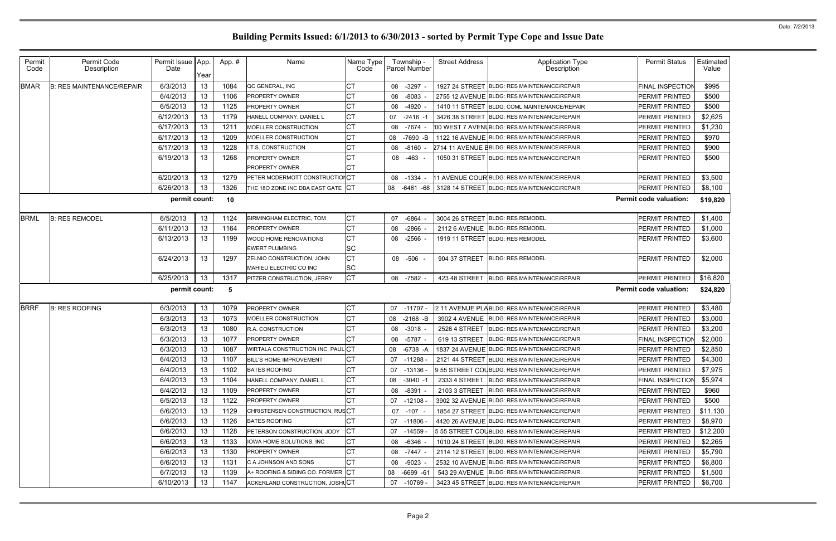| Permit<br>Code | Permit Code<br>Description       | Permit Issue   App.<br>Date | Year | App.#      | Name                              | Name Type<br>Code |    | Township -<br>Parcel Number | <b>Street Address</b> | <b>Application Type</b><br>Description                   | <b>Permit Status</b>          | Estimated<br>Value |
|----------------|----------------------------------|-----------------------------|------|------------|-----------------------------------|-------------------|----|-----------------------------|-----------------------|----------------------------------------------------------|-------------------------------|--------------------|
| <b>BMAR</b>    | <b>B: RES MAINTENANCE/REPAIR</b> | 6/3/2013                    | 13   | 1084       | QC GENERAL, INC                   | СT                | 08 | -3297 -                     |                       | 1927 24 STREET BLDG: RES MAINTENANCE/REPAIR              | FINAL INSPECTION              | \$995              |
|                |                                  | 6/4/2013                    | 13   | 1106       | <b>PROPERTY OWNER</b>             | <b>CT</b>         | 08 | $-8083 -$                   |                       | 2755 12 AVENUE BLDG: RES MAINTENANCE/REPAIR              | PERMIT PRINTED                | \$500              |
|                |                                  | 6/5/2013                    | 13   | 1125       | <b>PROPERTY OWNER</b>             | СT                | 08 | $-4920 -$                   |                       | 1410 11 STREET BLDG: COML MAINTENANCE/REPAIR             | PERMIT PRINTED                | \$500              |
|                |                                  | 6/12/2013                   | 13   | 1179       | HANELL COMPANY, DANIEL L          | <b>CT</b>         | 07 | $-2416 - 1$                 |                       | 3426 38 STREET BLDG: RES MAINTENANCE/REPAIR              | PERMIT PRINTED                | \$2,625            |
|                |                                  | 6/17/2013                   | 13   | 1211       | <b>MOELLER CONSTRUCTION</b>       | <b>CT</b>         | 08 | -7674 -                     |                       | 00 WEST 7 AVENUBLDG: RES MAINTENANCE/REPAIR              | PERMIT PRINTED                | \$1,230            |
|                |                                  | 6/17/2013                   | 13   | 1209       | MOELLER CONSTRUCTION              | <b>CT</b>         | 08 | -7690 -B                    |                       | 1122 16 AVENUE BLDG: RES MAINTENANCE/REPAIR              | PERMIT PRINTED                | \$970              |
|                |                                  | 6/17/2013                   | 13   | 1228       | I.T.S. CONSTRUCTION               | <b>CT</b>         | 08 | $-8160 -$                   |                       | 2714 11 AVENUE EBLDG: RES MAINTENANCE/REPAIR             | PERMIT PRINTED                | \$900              |
|                |                                  | 6/19/2013                   | 13   | 1268       | <b>PROPERTY OWNER</b>             | <b>CT</b>         | 08 | $-463 -$                    |                       | 1050 31 STREET BLDG: RES MAINTENANCE/REPAIR              | PERMIT PRINTED                | \$500              |
|                |                                  |                             |      |            | <b>PROPERTY OWNER</b>             |                   |    |                             |                       |                                                          |                               |                    |
|                |                                  | 6/20/2013                   | 13   | 1279       | PETER MCDERMOTT CONSTRUCTIONCT    |                   | 08 | $-1334 -$                   |                       | 11 AVENUE COUR BLDG: RES MAINTENANCE/REPAIR              | PERMIT PRINTED                | \$3,500            |
|                |                                  | 6/26/2013                   | 13   | 1326       | THE 180 ZONE INC DBA EAST GATE CT |                   |    |                             |                       | 08 -6461 -68 3128 14 STREET BLDG: RES MAINTENANCE/REPAIR | PERMIT PRINTED                | \$8,100            |
|                |                                  | permit count:               |      | 10         |                                   |                   |    |                             |                       |                                                          | <b>Permit code valuation:</b> | \$19,820           |
| <b>BRML</b>    | <b>B: RES REMODEL</b>            | 6/5/2013                    | 13   | 1124       | <b>BIRMINGHAM ELECTRIC, TOM</b>   | <b>CT</b>         | 07 | -6864                       | 3004 26 STREET        | <b>BLDG: RES REMODEL</b>                                 | PERMIT PRINTED                | \$1,400            |
|                |                                  | 6/11/2013                   | 13   | 1164       | <b>PROPERTY OWNER</b>             | <b>CT</b>         | 08 | $-2866$                     |                       | 2112 6 AVENUE BLDG: RES REMODEL                          | PERMIT PRINTED                | \$1,000            |
|                |                                  | 6/13/2013                   | 13   | 1199       | WOOD HOME RENOVATIONS             | <b>CT</b>         | 08 | $-2566$                     |                       | 1919 11 STREET BLDG: RES REMODEL                         | PERMIT PRINTED                | \$3,600            |
|                |                                  |                             |      |            | <b>EWERT PLUMBING</b>             | <b>SC</b>         |    |                             |                       |                                                          |                               |                    |
|                |                                  | 6/24/2013                   | 13   | 1297       | ZELNIO CONSTRUCTION, JOHN         | <b>CT</b>         |    | 08 -506 -                   | 904 37 STREET         | <b>BLDG: RES REMODEL</b>                                 | PERMIT PRINTED                | \$2,000            |
|                |                                  |                             |      |            | MAHIEU ELECTRIC CO INC            | <b>SC</b>         |    |                             |                       |                                                          |                               |                    |
|                |                                  | 6/25/2013                   | 13   | 1317       | PITZER CONSTRUCTION, JERRY        | <b>CT</b>         |    | 08 -7582 -                  | 423 48 STREET         | <b>BLDG: RES MAINTENANCE/REPAIR</b>                      | PERMIT PRINTED                | \$16,820           |
|                |                                  | permit count:               |      | $\sqrt{5}$ |                                   |                   |    |                             |                       |                                                          | <b>Permit code valuation:</b> | \$24,820           |
| <b>BRRF</b>    | <b>B: RES ROOFING</b>            | 6/3/2013                    | 13   | 1079       | <b>PROPERTY OWNER</b>             | <b>CT</b>         |    | 07 -11707 -                 |                       | 2 11 AVENUE PLABLDG: RES MAINTENANCE/REPAIR              | PERMIT PRINTED                | \$3,480            |
|                |                                  | 6/3/2013                    | 13   | 1073       | MOELLER CONSTRUCTION              | <b>CT</b>         | 08 | $-2168$ -B                  |                       | 3902 4 AVENUE BLDG: RES MAINTENANCE/REPAIR               | PERMIT PRINTED                | \$3,000            |
|                |                                  | 6/3/2013                    | 13   | 1080       | R.A. CONSTRUCTION                 | <b>CT</b>         | 08 | $-3018$                     | 2526 4 STREET         | <b>BLDG: RES MAINTENANCE/REPAIR</b>                      | PERMIT PRINTED                | \$3,200            |
|                |                                  | 6/3/2013                    | 13   | 1077       | PROPERTY OWNER                    | <b>CT</b>         | 08 | $-5787 -$                   | 619 13 STREET         | <b>BLDG: RES MAINTENANCE/REPAIR</b>                      | FINAL INSPECTION              | \$2,000            |
|                |                                  | 6/3/2013                    | 13   | 1087       | WIRTALA CONSTRUCTION INC, PAUL CT |                   | 08 | $-6738 - A$                 |                       | 1837 24 AVENUE BLDG: RES MAINTENANCE/REPAIR              | PERMIT PRINTED                | \$2,850            |
|                |                                  | 6/4/2013                    | 13   | 1107       | BILL'S HOME IMPROVEMENT           | <b>CT</b>         |    |                             |                       | 07 -11288 - 2121 44 STREET BLDG: RES MAINTENANCE/REPAIR  | PERMIT PRINTED                | \$4,300            |
|                |                                  | 6/4/2013                    | 13   | 1102       | <b>BATES ROOFING</b>              | <b>CT</b>         | 07 | -13136 -                    |                       | 9 55 STREET COLBLDG: RES MAINTENANCE/REPAIR              | PERMIT PRINTED                | \$7,975            |
|                |                                  | 6/4/2013                    | 13   | 1104       | HANELL COMPANY, DANIEL L          | <b>CT</b>         | 08 | $-3040 -1$                  |                       | 2333 4 STREET BLDG: RES MAINTENANCE/REPAIR               | <b>FINAL INSPECTION</b>       | \$5,974            |
|                |                                  | 6/4/2013                    | 13   | 1109       | <b>PROPERTY OWNER</b>             | <b>CT</b>         | 08 | $-8391 -$                   | 2103 3 STREET         | <b>BLDG: RES MAINTENANCE/REPAIR</b>                      | PERMIT PRINTED                | \$960              |
|                |                                  | 6/5/2013                    | 13   | 1122       | <b>PROPERTY OWNER</b>             | <b>CT</b>         | 07 | $-12108 -$                  |                       | 3902 32 AVENUE BLDG: RES MAINTENANCE/REPAIR              | PERMIT PRINTED                | \$500              |
|                |                                  | 6/6/2013                    | 13   | 1129       | CHRISTENSEN CONSTRUCTION, RUSCT   |                   | 07 | $-107$                      |                       | 1854 27 STREET BLDG: RES MAINTENANCE/REPAIR              | PERMIT PRINTED                | \$11,130           |
|                |                                  | 6/6/2013                    | 13   | 1126       | <b>BATES ROOFING</b>              | <b>CT</b>         | 07 | -11806 -                    |                       | 4420 26 AVENUE BLDG: RES MAINTENANCE/REPAIR              | PERMIT PRINTED                | \$8,970            |
|                |                                  | 6/6/2013                    | 13   | 1128       | PETERSON CONSTRUCTION, JODY       | <b>CT</b>         | 07 | $-14559$                    |                       | 5 55 STREET COLBLDG: RES MAINTENANCE/REPAIR              | PERMIT PRINTED                | \$12,200           |
|                |                                  | 6/6/2013                    | 13   | 1133       | IOWA HOME SOLUTIONS, INC          | <b>CT</b>         | 08 | $-6346 -$                   |                       | 1010 24 STREET BLDG: RES MAINTENANCE/REPAIR              | PERMIT PRINTED                | \$2,265            |
|                |                                  | 6/6/2013                    | 13   | 1130       | <b>PROPERTY OWNER</b>             | <b>CT</b>         | 08 | -7447 -                     |                       | 2114 12 STREET BLDG: RES MAINTENANCE/REPAIR              | PERMIT PRINTED                | \$5,790            |
|                |                                  | 6/6/2013                    | 13   | 1131       | C A JOHNSON AND SONS              | <b>CT</b>         | 08 | $-9023 -$                   |                       | 2532 10 AVENUE BLDG: RES MAINTENANCE/REPAIR              | PERMIT PRINTED                | \$6,800            |
|                |                                  | 6/7/2013                    | 13   | 1139       | A+ ROOFING & SIDING CO. FORMER CT |                   | 08 | $-6699 - 61$                |                       | 543 29 AVENUE BLDG: RES MAINTENANCE/REPAIR               | PERMIT PRINTED                | \$1,500            |
|                |                                  | 6/10/2013                   | 13   | 1147       | ACKERLAND CONSTRUCTION, JOSHUCT   |                   | 07 | -10769 -                    |                       | 3423 45 STREET BLDG: RES MAINTENANCE/REPAIR              | PERMIT PRINTED                | \$6,700            |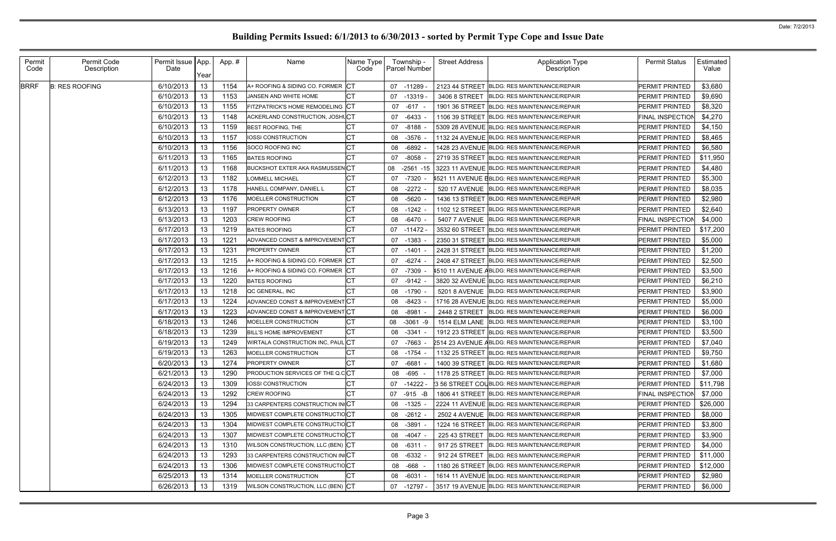| Permit      | Permit Code           | Permit Issue | App  | App.# | Name                                   | Name Type  | Township -         | <b>Street Address</b> | <b>Application Type</b>                      | <b>Permit Status</b> | Estimated |
|-------------|-----------------------|--------------|------|-------|----------------------------------------|------------|--------------------|-----------------------|----------------------------------------------|----------------------|-----------|
| Code        | Description           | Date         | Year |       |                                        | Code       | Parcel Number      |                       | Description                                  |                      | Value     |
| <b>BRRF</b> | <b>B: RES ROOFING</b> | 6/10/2013    | 13   | 1154  | A+ ROOFING & SIDING CO. FORMER         | CT         | 07<br>$-11289$     | 2123 44 STREET        | <b>BLDG: RES MAINTENANCE/REPAIR</b>          | PERMIT PRINTED       | \$3,680   |
|             |                       | 6/10/2013    | 13   | 1153  | <b>JANSEN AND WHITE HOME</b>           | <b>CT</b>  | $-13319$<br>07     | 3406 8 STREET         | <b>BLDG: RES MAINTENANCE/REPAIR</b>          | PERMIT PRINTED       | \$9,690   |
|             |                       | 6/10/2013    | 13   | 1155  | FITZPATRICK'S HOME REMODELING CT       |            | $-617$<br>07       | 1901 36 STREET        | <b>BLDG: RES MAINTENANCE/REPAIR</b>          | PERMIT PRINTED       | \$8,320   |
|             |                       | 6/10/2013    | 13   | 1148  | <b>ACKERLAND CONSTRUCTION, JOSHLCT</b> |            | -6433<br>07        | 1106 39 STREET        | BLDG: RES MAINTENANCE/REPAIR                 | FINAL INSPECTION     | \$4,270   |
|             |                       | 6/10/2013    | 13   | 1159  | <b>BEST ROOFING, THE</b>               | <b>CT</b>  | $-8188$<br>07      |                       | 5309 28 AVENUE BLDG: RES MAINTENANCE/REPAIR  | PERMIT PRINTED       | \$4,150   |
|             |                       | 6/10/2013    | 13   | 1157  | <b>IOSSI CONSTRUCTION</b>              | IСТ        | $-3576$<br>08      |                       | 1132 24 AVENUE BLDG: RES MAINTENANCE/REPAIR  | PERMIT PRINTED       | \$8,465   |
|             |                       | 6/10/2013    | 13   | 1156  | <b>SOCO ROOFING INC</b>                | <b>CT</b>  | $-6892$<br>08      |                       | 1428 23 AVENUE BLDG: RES MAINTENANCE/REPAIR  | PERMIT PRINTED       | \$6,580   |
|             |                       | 6/11/2013    | 13   | 1165  | <b>BATES ROOFING</b>                   | <b>CT</b>  | $-8058$<br>07      | 2719 35 STREET        | BLDG: RES MAINTENANCE/REPAIR                 | PERMIT PRINTED       | \$11,950  |
|             |                       | 6/11/2013    | 13   | 1168  | <b>BUCKSHOT EXTER AKA RASMUSSENCT</b>  |            | $-2561 - 15$<br>08 | 3223 11 AVENUE        | <b>BLDG: RES MAINTENANCE/REPAIR</b>          | PERMIT PRINTED       | \$4,480   |
|             |                       | 6/12/2013    | 13   | 1182  | <b>_OMMELL MICHAEL</b>                 | <b>CT</b>  | $-7320 -$<br>07    |                       | 1521 11 AVENUE EBLDG: RES MAINTENANCE/REPAIR | PERMIT PRINTED       | \$5,300   |
|             |                       | 6/12/2013    | 13   | 1178  | HANELL COMPANY, DANIEL L               | <b>CT</b>  | $-2272$<br>08      | <b>520 17 AVENUE</b>  | <b>BLDG: RES MAINTENANCE/REPAIR</b>          | PERMIT PRINTED       | \$8,035   |
|             |                       | 6/12/2013    | 13   | 1176  | <b>MOELLER CONSTRUCTION</b>            | <b>CT</b>  | -5620<br>08        | 1436 13 STREET        | BLDG: RES MAINTENANCE/REPAIR                 | PERMIT PRINTED       | \$2,980   |
|             |                       | 6/13/2013    | 13   | 1197  | <b>PROPERTY OWNER</b>                  | <b>CT</b>  | $-1242$<br>08      | 1102 12 STREET        | <b>BLDG: RES MAINTENANCE/REPAIR</b>          | PERMIT PRINTED       | \$2,640   |
|             |                       | 6/13/2013    | 13   | 1203  | <b>CREW ROOFING</b>                    | <b>CT</b>  | $-6470 -$<br>08    | <b>5407 7 AVENUE</b>  | <b>BLDG: RES MAINTENANCE/REPAIR</b>          | FINAL INSPECTION     | \$4,000   |
|             |                       | 6/17/2013    | 13   | 1219  | <b>BATES ROOFING</b>                   | <b>CT</b>  | $-11472$<br>07     | 3532 60 STREET        | <b>BLDG: RES MAINTENANCE/REPAIR</b>          | PERMIT PRINTED       | \$17,200  |
|             |                       | 6/17/2013    | 13   | 1221  | ADVANCED CONST & IMPROVEMENT CT        |            | $-1383$<br>07      | 2350 31 STREET        | <b>BLDG: RES MAINTENANCE/REPAIR</b>          | PERMIT PRINTED       | \$5,000   |
|             |                       | 6/17/2013    | 13   | 1231  | <b>PROPERTY OWNER</b>                  | <b>CT</b>  | $-1401 -$<br>07    | 2428 31 STREET        | <b>BLDG: RES MAINTENANCE/REPAIR</b>          | PERMIT PRINTED       | \$1,200   |
|             |                       | 6/17/2013    | 13   | 1215  | A+ ROOFING & SIDING CO. FORMER         | <b>ICT</b> | $-6274$<br>07      | 2408 47 STREET        | <b>BLDG: RES MAINTENANCE/REPAIR</b>          | PERMIT PRINTED       | \$2,500   |
|             |                       | 6/17/2013    | 13   | 1216  | A+ ROOFING & SIDING CO. FORMER         |            | $-7309$<br>07      |                       | 1510 11 AVENUE ABLDG: RES MAINTENANCE/REPAIR | PERMIT PRINTED       | \$3,500   |
|             |                       | 6/17/2013    | 13   | 1220  | <b>BATES ROOFING</b>                   |            | $-9142 -$<br>07    |                       | 3820 32 AVENUE BLDG: RES MAINTENANCE/REPAIR  | PERMIT PRINTED       | \$6,210   |
|             |                       | 6/17/2013    | 13   | 1218  | QC GENERAL, INC                        | <b>CT</b>  | $-1790$<br>08      | 5201 8 AVENUE         | <b>BLDG: RES MAINTENANCE/REPAIR</b>          | PERMIT PRINTED       | \$3,900   |
|             |                       | 6/17/2013    | 13   | 1224  | ADVANCED CONST & IMPROVEMENTCT         |            | $-8423$<br>08      | 1716 28 AVENUE        | <b>BLDG: RES MAINTENANCE/REPAIR</b>          | PERMIT PRINTED       | \$5,000   |
|             |                       | 6/17/2013    | 13   | 1223  | ADVANCED CONST & IMPROVEMENT CT        |            | $-8981$<br>08      | 2448 2 STREET         | <b>BLDG: RES MAINTENANCE/REPAIR</b>          | PERMIT PRINTED       | \$6,000   |
|             |                       | 6/18/2013    | 13   | 1246  | MOELLER CONSTRUCTION                   | СT         | $-3061 - 9$<br>08  | 1514 ELM LANE         | <b>BLDG: RES MAINTENANCE/REPAIR</b>          | PERMIT PRINTED       | \$3,100   |
|             |                       | 6/18/2013    | 13   | 1239  | <b>BILL'S HOME IMPROVEMENT</b>         | СT         | $-3341 -$<br>08    | 1912 23 STREET        | <b>BLDG: RES MAINTENANCE/REPAIR</b>          | PERMIT PRINTED       | \$3,500   |
|             |                       | 6/19/2013    | 13   | 1249  | WIRTALA CONSTRUCTION INC, PAUL CT      |            | -7663<br>07        |                       | 2514 23 AVENUE ABLDG: RES MAINTENANCE/REPAIR | PERMIT PRINTED       | \$7,040   |
|             |                       | 6/19/2013    | 13   | 1263  | MOELLER CONSTRUCTION                   | <b>CT</b>  | $-1754$<br>08      |                       | 1132 25 STREET BLDG: RES MAINTENANCE/REPAIR  | PERMIT PRINTED       | \$9,750   |
|             |                       | 6/20/2013    | 13   | 1274  | <b>PROPERTY OWNER</b>                  | <b>CT</b>  | 07 -6681 -         |                       | 1400 39 STREET BLDG: RES MAINTENANCE/REPAIR  | PERMIT PRINTED       | \$1,680   |
|             |                       | 6/21/2013    | 13   | 1290  | PRODUCTION SERVICES OF THE Q.CCT       |            | -695<br>08         |                       | 1178 25 STREET BLDG: RES MAINTENANCE/REPAIR  | PERMIT PRINTED       | \$7,000   |
|             |                       | 6/24/2013    | 13   | 1309  | <b>IOSSI CONSTRUCTION</b>              | <b>CT</b>  | 07 -14222 -        |                       | 3 56 STREET COLBLDG: RES MAINTENANCE/REPAIR  | PERMIT PRINTED       | \$11,798  |
|             |                       | 6/24/2013    | 13   | 1292  | <b>CREW ROOFING</b>                    | <b>CT</b>  | $-915 - B$<br>07   |                       | 1806 41 STREET BLDG: RES MAINTENANCE/REPAIR  | FINAL INSPECTION     | \$7,000   |
|             |                       | 6/24/2013    | 13   | 1294  | 33 CARPENTERS CONSTRUCTION IN CT       |            | $-1325 -$<br>08    |                       | 2224 11 AVENUE BLDG: RES MAINTENANCE/REPAIR  | PERMIT PRINTED       | \$26,000  |
|             |                       | 6/24/2013    | 13   | 1305  | MIDWEST COMPLETE CONSTRUCTIOCT         |            | $-2612 -$<br>08    |                       | 2502 4 AVENUE BLDG: RES MAINTENANCE/REPAIR   | PERMIT PRINTED       | \$8,000   |
|             |                       | 6/24/2013    | 13   | 1304  | MIDWEST COMPLETE CONSTRUCTIOCT         |            | $-3891 -$<br>08    |                       | 1224 16 STREET BLDG: RES MAINTENANCE/REPAIR  | PERMIT PRINTED       | \$3,800   |
|             |                       | 6/24/2013    | 13   | 1307  | MIDWEST COMPLETE CONSTRUCTIOCT         |            | $-4047 -$<br>08    | 225 43 STREET         | <b>BLDG: RES MAINTENANCE/REPAIR</b>          | PERMIT PRINTED       | \$3,900   |
|             |                       | 6/24/2013    | 13   | 1310  | WILSON CONSTRUCTION, LLC (BEN) CT      |            | 08<br>-6311 -      | 917 25 STREET         | <b>BLDG: RES MAINTENANCE/REPAIR</b>          | PERMIT PRINTED       | \$4,000   |
|             |                       | 6/24/2013    | 13   | 1293  | 33 CARPENTERS CONSTRUCTION IN CT       |            | $-6332 -$<br>08    | 912 24 STREET         | <b>BLDG: RES MAINTENANCE/REPAIR</b>          | PERMIT PRINTED       | \$11,000  |
|             |                       | 6/24/2013    | 13   | 1306  | MIDWEST COMPLETE CONSTRUCTIOCT         |            | -668<br>08         |                       | 1180 26 STREET BLDG: RES MAINTENANCE/REPAIR  | PERMIT PRINTED       | \$12,000  |
|             |                       | 6/25/2013    | 13   | 1314  | MOELLER CONSTRUCTION                   | СT         | $-6031 -$<br>08    |                       | 1614 11 AVENUE BLDG: RES MAINTENANCE/REPAIR  | PERMIT PRINTED       | \$2,980   |
|             |                       | 6/26/2013    | 13   | 1319  | WILSON CONSTRUCTION, LLC (BEN) CT      |            | 07 -12797 -        |                       | 3517 19 AVENUE BLDG: RES MAINTENANCE/REPAIR  | PERMIT PRINTED       | \$6,000   |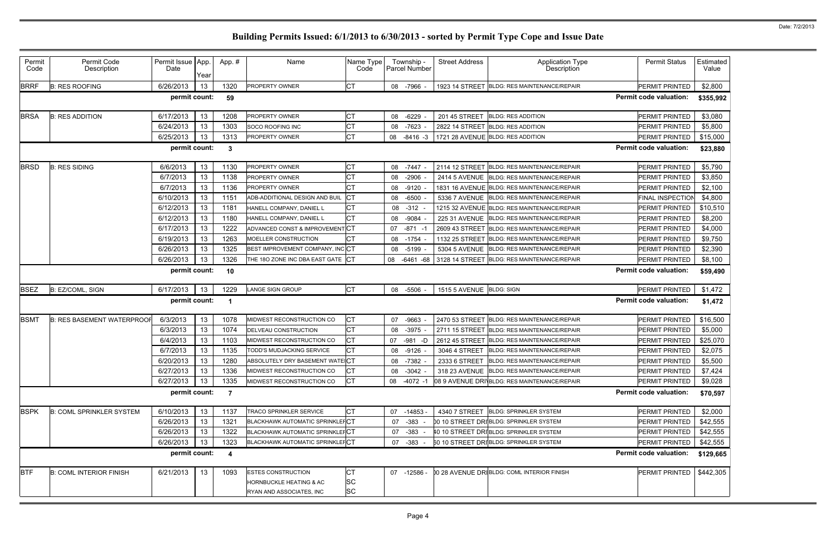| Permit<br>Code | Permit Code<br>Description        | Permit Issue   App.<br>Date | Year | App.#            | Name                                   | Name Type<br>Code |    | Township -<br>Parcel Number | <b>Street Address</b>    | <b>Application Type</b><br>Description       | <b>Permit Status</b>          | Estimated<br>Value |
|----------------|-----------------------------------|-----------------------------|------|------------------|----------------------------------------|-------------------|----|-----------------------------|--------------------------|----------------------------------------------|-------------------------------|--------------------|
| <b>BRRF</b>    | <b>B: RES ROOFING</b>             | 6/26/2013                   | 13   | 1320             | <b>PROPERTY OWNER</b>                  | <b>CT</b>         |    | 08 -7966 -                  |                          | 1923 14 STREET BLDG: RES MAINTENANCE/REPAIR  | PERMIT PRINTED                | \$2,800            |
|                |                                   | permit count:               |      | 59               |                                        |                   |    |                             |                          |                                              | <b>Permit code valuation:</b> | \$355,992          |
| <b>BRSA</b>    | <b>B: RES ADDITION</b>            | 6/17/2013                   | 13   | 1208             | <b>PROPERTY OWNER</b>                  | <b>CT</b>         | 08 | $-6229$                     | 201 45 STREET            | <b>BLDG: RES ADDITION</b>                    | PERMIT PRINTED                | \$3,080            |
|                |                                   | 6/24/2013                   | 13   | 1303             | <b>SOCO ROOFING INC</b>                | <b>CT</b>         | 08 | $-7623 -$                   | 2822 14 STREET           | <b>BLDG: RES ADDITION</b>                    | PERMIT PRINTED                | \$5,800            |
|                |                                   | 6/25/2013                   | 13   | 1313             | <b>PROPERTY OWNER</b>                  | <b>CT</b>         | 08 | $-8416 - 3$                 |                          | 1721 28 AVENUE BLDG: RES ADDITION            | PERMIT PRINTED                | \$15,000           |
|                |                                   | permit count:               |      | 3                |                                        |                   |    |                             |                          |                                              | <b>Permit code valuation:</b> | \$23,880           |
| <b>BRSD</b>    | <b>B: RES SIDING</b>              | 6/6/2013                    | 13   | 1130             | <b>PROPERTY OWNER</b>                  | <b>CT</b>         | 08 | -7447 -                     | 2114 12 STREET           | BLDG: RES MAINTENANCE/REPAIR                 | PERMIT PRINTED                | \$5,790            |
|                |                                   | 6/7/2013                    | 13   | 1138             | <b>PROPERTY OWNER</b>                  | <b>CT</b>         | 08 | $-2906$                     | <b>2414 5 AVENUE</b>     | <b>BLDG: RES MAINTENANCE/REPAIR</b>          | PERMIT PRINTED                | \$3,850            |
|                |                                   | 6/7/2013                    | 13   | 1136             | <b>PROPERTY OWNER</b>                  | <b>CT</b>         | 08 | $-9120 -$                   |                          | 1831 16 AVENUE BLDG: RES MAINTENANCE/REPAIR  | PERMIT PRINTED                | \$2,100            |
|                |                                   | 6/10/2013                   | 13   | 1151             | ADB-ADDITIONAL DESIGN AND BUIL         | <b>CT</b>         | 08 | $-6500$                     | 5336 7 AVENUE            | <b>BLDG: RES MAINTENANCE/REPAIR</b>          | FINAL INSPECTION              | \$4,800            |
|                |                                   | 6/12/2013                   | 13   | 1181             | HANELL COMPANY, DANIEL L               | <b>CT</b>         | 08 | -312                        |                          | 1215 32 AVENUE BLDG: RES MAINTENANCE/REPAIR  | PERMIT PRINTED                | \$10,510           |
|                |                                   | 6/12/2013                   | 13   | 1180             | HANELL COMPANY, DANIEL L               | <b>CT</b>         | 08 | $-9084$                     | 225 31 AVENUE            | <b>BLDG: RES MAINTENANCE/REPAIR</b>          | PERMIT PRINTED                | \$8,200            |
|                |                                   | 6/17/2013                   | 13   | 1222             | ADVANCED CONST & IMPROVEMENT CT        |                   | 07 | $-871 - 1$                  |                          | 2609 43 STREET BLDG: RES MAINTENANCE/REPAIR  | PERMIT PRINTED                | \$4,000            |
|                |                                   | 6/19/2013                   | 13   | 1263             | MOELLER CONSTRUCTION                   | <b>CT</b>         | 08 | $-1754$                     | 1132 25 STREET           | <b>BLDG: RES MAINTENANCE/REPAIR</b>          | PERMIT PRINTED                | \$9,750            |
|                |                                   | 6/26/2013                   | 13   | 1325             | BEST IMPROVEMENT COMPANY, INCCT        |                   | 08 | -5199                       | 5304 5 AVENUE            | <b>BLDG: RES MAINTENANCE/REPAIR</b>          | PERMIT PRINTED                | \$2,390            |
|                |                                   | 6/26/2013                   | 13   | 1326             | THE 180 ZONE INC DBA EAST GATE CT      |                   | 08 | $-6461 - 68$                | 3128 14 STREET           | BLDG: RES MAINTENANCE/REPAIR                 | PERMIT PRINTED                | \$8,100            |
|                |                                   | permit count:               |      | 10               |                                        |                   |    |                             |                          |                                              | <b>Permit code valuation:</b> | \$59,490           |
| <b>BSEZ</b>    | B: EZ/COML, SIGN                  | 6/17/2013                   | 13   | 1229             | <b>LANGE SIGN GROUP</b>                | <b>CT</b>         | 08 | -5506                       | 1515 5 AVENUE BLDG: SIGN |                                              | PERMIT PRINTED                | \$1,472            |
|                |                                   | permit count:               |      |                  |                                        |                   |    |                             |                          |                                              | <b>Permit code valuation:</b> | \$1,472            |
| <b>BSMT</b>    | <b>B: RES BASEMENT WATERPROOF</b> | 6/3/2013                    | 13   | 1078             | <b>MIDWEST RECONSTRUCTION CO</b>       | <b>CT</b>         | 07 | $-9663$                     |                          | 2470 53 STREET BLDG: RES MAINTENANCE/REPAIR  | PERMIT PRINTED                | \$16,500           |
|                |                                   | 6/3/2013                    | 13   | 1074             | <b>DELVEAU CONSTRUCTION</b>            | <b>CT</b>         | 08 | -3975                       | 2711 15 STREET           | BLDG: RES MAINTENANCE/REPAIR                 | PERMIT PRINTED                | \$5,000            |
|                |                                   | 6/4/2013                    | 13   | 1103             | MIDWEST RECONSTRUCTION CO              | <b>CT</b>         | 07 | $-981 - D$                  | 2612 45 STREET           | <b>BLDG: RES MAINTENANCE/REPAIR</b>          | PERMIT PRINTED                | \$25,070           |
|                |                                   | 6/7/2013                    | 13   | 1135             | TODD'S MUDJACKING SERVICE              | <b>CT</b>         | 08 | -9126 -                     | 3046 4 STREET            | <b>BLDG: RES MAINTENANCE/REPAIR</b>          | PERMIT PRINTED                | \$2,075            |
|                |                                   | 6/20/2013                   | 13   | 1280             | ABSOLUTELY DRY BASEMENT WATE CT        |                   | 08 | -7382 -                     |                          | 2333 6 STREET BLDG: RES MAINTENANCE/REPAIR   | PERMIT PRINTED                | \$5,500            |
|                |                                   | 6/27/2013                   | 13   | 1336             | MIDWEST RECONSTRUCTION CO              | <b>CT</b>         | 08 | $-3042 -$                   |                          | 318 23 AVENUE BLDG: RES MAINTENANCE/REPAIR   | PERMIT PRINTED                | \$7,424            |
|                |                                   | 6/27/2013                   | 13   | 1335             | MIDWEST RECONSTRUCTION CO              | <b>CT</b>         | 08 | $-4072 - 1$                 |                          | 08 9 AVENUE DRIVBLDG: RES MAINTENANCE/REPAIR | PERMIT PRINTED                | \$9,028            |
|                |                                   | permit count:               |      | $\overline{7}$   |                                        |                   |    |                             |                          |                                              | <b>Permit code valuation:</b> | \$70,597           |
| <b>BSPK</b>    | <b>B: COML SPRINKLER SYSTEM</b>   | 6/10/2013                   | 13   | 1137             | TRACO SPRINKLER SERVICE                | СT                | 07 | $-14853 -$                  | 4340 7 STREET            | <b>BLDG: SPRINKLER SYSTEM</b>                | PERMIT PRINTED                | \$2,000            |
|                |                                   | 6/26/2013                   | 13   | 1321             | <b>BLACKHAWK AUTOMATIC SPRINKLEFCT</b> |                   | 07 | -383                        |                          | 00 10 STREET DRIBLDG: SPRINKLER SYSTEM       | PERMIT PRINTED                | \$42,555           |
|                |                                   | 6/26/2013                   | 13   | 1322             | <b>BLACKHAWK AUTOMATIC SPRINKLEFCT</b> |                   | 07 | $-383$                      |                          | 10 10 STREET DRIBLDG: SPRINKLER SYSTEM       | PERMIT PRINTED                | \$42,555           |
|                |                                   | 6/26/2013                   | 13   | 1323             | <b>BLACKHAWK AUTOMATIC SPRINKLEFCT</b> |                   | 07 | -383                        |                          | 60 10 STREET DRI BLDG: SPRINKLER SYSTEM      | PERMIT PRINTED                | \$42,555           |
|                |                                   | permit count:               |      | $\boldsymbol{4}$ |                                        |                   |    |                             |                          |                                              | <b>Permit code valuation:</b> | \$129,665          |
| <b>BTF</b>     | <b>B: COML INTERIOR FINISH</b>    | 6/21/2013                   | 13   | 1093             | <b>ESTES CONSTRUCTION</b>              | СT                |    | 07 -12586 -                 |                          | 0 28 AVENUE DRIBLDG: COML INTERIOR FINISH    | PERMIT PRINTED                | \$442,305          |
|                |                                   |                             |      |                  | <b>HORNBUCKLE HEATING &amp; AC</b>     | <b>SC</b>         |    |                             |                          |                                              |                               |                    |
|                |                                   |                             |      |                  | RYAN AND ASSOCIATES, INC               | <b>SC</b>         |    |                             |                          |                                              |                               |                    |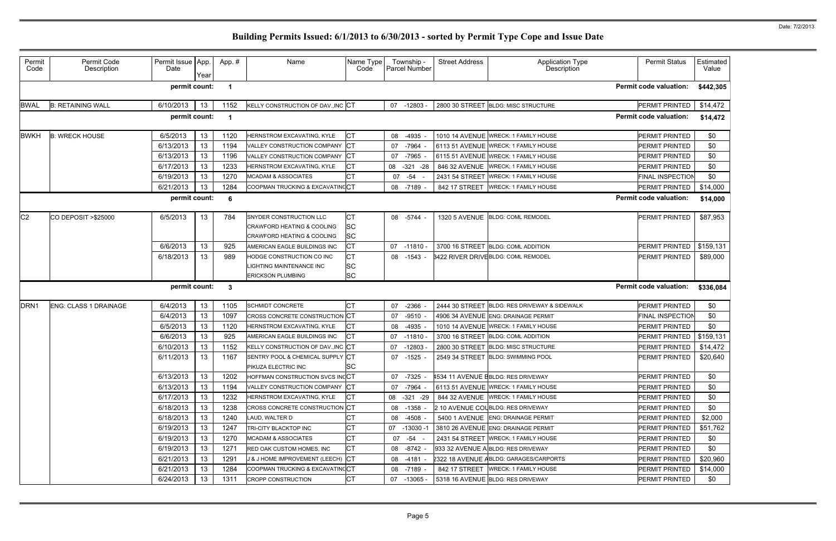| Permit<br>Code   | Permit Code<br>Description   | Permit Issue   App.<br>Date | Year | App.#       | Name                                                    | Name Type<br>Code | Township -<br><b>Parcel Number</b> | <b>Street Address</b> | Application Type<br>Description              | <b>Permit Status</b>          | Estimated<br>Value |
|------------------|------------------------------|-----------------------------|------|-------------|---------------------------------------------------------|-------------------|------------------------------------|-----------------------|----------------------------------------------|-------------------------------|--------------------|
|                  |                              | permit count:               |      | $\mathbf 1$ |                                                         |                   |                                    |                       |                                              | <b>Permit code valuation:</b> | \$442,305          |
| <b>BWAL</b>      | <b>B: RETAINING WALL</b>     | 6/10/2013                   | 13   | 1152        | KELLY CONSTRUCTION OF DAV., INC CT                      |                   | 07 -12803 -                        |                       | 2800 30 STREET BLDG: MISC STRUCTURE          | PERMIT PRINTED                | \$14,472           |
|                  |                              | permit count:               |      | -1          |                                                         |                   |                                    |                       |                                              | <b>Permit code valuation:</b> | \$14,472           |
| <b>BWKH</b>      | <b>B: WRECK HOUSE</b>        | 6/5/2013                    | 13   | 1120        | HERNSTROM EXCAVATING, KYLE                              | <b>CT</b>         | 08<br>-4935                        |                       | 1010 14 AVENUE WRECK: 1 FAMILY HOUSE         | PERMIT PRINTED                | \$0                |
|                  |                              | 6/13/2013                   | 13   | 1194        | VALLEY CONSTRUCTION COMPANY                             | <b>ICT</b>        | $-7964$<br>07                      |                       | 6113 51 AVENUE WRECK: 1 FAMILY HOUSE         | PERMIT PRINTED                | \$0                |
|                  |                              | 6/13/2013                   | 13   | 1196        | VALLEY CONSTRUCTION COMPANY                             | <b>ICT</b>        | $-7965$<br>07                      |                       | 6115 51 AVENUE WRECK: 1 FAMILY HOUSE         | PERMIT PRINTED                | \$0                |
|                  |                              | 6/17/2013                   | 13   | 1233        | HERNSTROM EXCAVATING, KYLE                              | СT                | $-321 -28$<br>08                   | 846 32 AVENUE         | <b>WRECK: 1 FAMILY HOUSE</b>                 | PERMIT PRINTED                | \$0                |
|                  |                              | 6/19/2013                   | 13   | 1270        | <b>MCADAM &amp; ASSOCIATES</b>                          | <b>CT</b>         | $-54$<br>07                        | 2431 54 STREET        | <b>WRECK: 1 FAMILY HOUSE</b>                 | FINAL INSPECTION              | \$0                |
|                  |                              | 6/21/2013                   | 13   | 1284        | COOPMAN TRUCKING & EXCAVATING CT                        |                   | 08<br>-7189                        | 842 17 STREET         | <b>WRECK: 1 FAMILY HOUSE</b>                 | PERMIT PRINTED                | \$14,000           |
|                  |                              | permit count:               |      | 6           |                                                         |                   |                                    |                       |                                              | <b>Permit code valuation:</b> | \$14,000           |
| C <sub>2</sub>   | CO DEPOSIT > \$25000         | 6/5/2013                    | 13   | 784         | SNYDER CONSTRUCTION LLC                                 | CТ                | 08 - 5744                          |                       | 1320 5 AVENUE BLDG: COML REMODEL             | PERMIT PRINTED                | \$87,953           |
|                  |                              |                             |      |             | CRAWFORD HEATING & COOLING                              | <b>SC</b>         |                                    |                       |                                              |                               |                    |
|                  |                              |                             |      |             | <b>CRAWFORD HEATING &amp; COOLING</b>                   | SC                |                                    |                       |                                              |                               |                    |
|                  |                              | 6/6/2013                    | 13   | 925         | AMERICAN EAGLE BUILDINGS INC                            | СT                | 07<br>$-11810 \cdot$               |                       | 3700 16 STREET BLDG: COML ADDITION           | PERMIT PRINTED                | \$159,131          |
|                  |                              | 6/18/2013                   | 13   | 989         | HODGE CONSTRUCTION CO INC                               | <b>CT</b>         | 08 -1543 -                         |                       | 3422 RIVER DRIVE BLDG: COML REMODEL          | PERMIT PRINTED                | \$89,000           |
|                  |                              |                             |      |             | <b>LIGHTING MAINTENANCE INC</b>                         | <b>SC</b>         |                                    |                       |                                              |                               |                    |
|                  |                              |                             |      |             | <b>ERICKSON PLUMBING</b>                                | <b>SC</b>         |                                    |                       |                                              |                               |                    |
|                  |                              | permit count:               |      | 3           |                                                         |                   |                                    |                       |                                              | <b>Permit code valuation:</b> | \$336,084          |
| DRN <sub>1</sub> | <b>ENG: CLASS 1 DRAINAGE</b> | 6/4/2013                    | 13   | 1105        | <b>SCHMIDT CONCRETE</b>                                 | <b>CT</b>         | $-2366$<br>07                      |                       | 2444 30 STREET BLDG: RES DRIVEWAY & SIDEWALK | PERMIT PRINTED                | \$0                |
|                  |                              | 6/4/2013                    | 13   | 1097        | <b>CROSS CONCRETE CONSTRUCTION CT</b>                   |                   | $-9510$<br>07                      |                       | 4906 34 AVENUE ENG: DRAINAGE PERMIT          | FINAL INSPECTION              | \$0                |
|                  |                              | 6/5/2013                    | 13   | 1120        | HERNSTROM EXCAVATING, KYLE                              | СT                | $-4935$<br>08                      |                       | 1010 14 AVENUE WRECK: 1 FAMILY HOUSE         | PERMIT PRINTED                | \$0                |
|                  |                              | 6/6/2013                    | 13   | 925         | AMERICAN EAGLE BUILDINGS INC                            | <b>CT</b>         | 07<br>$-11810$                     | 3700 16 STREET        | <b>BLDG: COML ADDITION</b>                   | PERMIT PRINTED                | \$159,131          |
|                  |                              | 6/10/2013                   | 13   | 1152        | KELLY CONSTRUCTION OF DAV., INC CT                      |                   | $-12803$<br>07                     | 2800 30 STREET        | BLDG: MISC STRUCTURE                         | PERMIT PRINTED                | \$14,472           |
|                  |                              | 6/11/2013                   | 13   | 1167        | SENTRY POOL & CHEMICAL SUPPLY CT<br>PIKUZA ELECTRIC INC | <b>SC</b>         | $-1525$<br>07                      |                       | 2549 34 STREET BLDG: SWIMMING POOL           | PERMIT PRINTED                | \$20,640           |
|                  |                              | 6/13/2013                   | 13   | 1202        | HOFFMAN CONSTRUCTION SVCS INCCT                         |                   | 07<br>-7325 -                      |                       | 1534 11 AVENUE EBLDG: RES DRIVEWAY           | <b>PERMIT PRINTED</b>         | \$0                |
|                  |                              | 6/13/2013                   | 13   | 1194        | VALLEY CONSTRUCTION COMPANY CT                          |                   | $-7964 -$<br>07                    |                       | 6113 51 AVENUE WRECK: 1 FAMILY HOUSE         | <b>PERMIT PRINTED</b>         | \$0                |
|                  |                              | 6/17/2013                   | 13   | 1232        | HERNSTROM EXCAVATING, KYLE                              | IСТ               | 08 -321 -29                        |                       | 844 32 AVENUE WRECK: 1 FAMILY HOUSE          | <b>PERMIT PRINTED</b>         | \$0                |
|                  |                              | 6/18/2013                   | 13   | 1238        | <b>CROSS CONCRETE CONSTRUCTION CT</b>                   |                   | -1358 -<br>08                      |                       | 2 10 AVENUE COLBLDG: RES DRIVEWAY            | <b>PERMIT PRINTED</b>         | \$0                |
|                  |                              | 6/18/2013                   | 13   | 1240        | LAUD, WALTER D                                          | <b>CT</b>         | -4508 -<br>08                      |                       | 5400 1 AVENUE ENG: DRAINAGE PERMIT           | PERMIT PRINTED                | \$2,000            |
|                  |                              | 6/19/2013                   | 13   | 1247        | <b>TRI-CITY BLACKTOP INC</b>                            | <b>CT</b>         | -13030 -1<br>07                    |                       | 3810 26 AVENUE ENG: DRAINAGE PERMIT          | PERMIT PRINTED                | \$51,762           |
|                  |                              | 6/19/2013                   | 13   | 1270        | <b>MCADAM &amp; ASSOCIATES</b>                          | <b>CT</b>         | 07<br>-54 -                        |                       | 2431 54 STREET WRECK: 1 FAMILY HOUSE         | <b>PERMIT PRINTED</b>         | \$0                |
|                  |                              | 6/19/2013                   | 13   | 1271        | <b>RED OAK CUSTOM HOMES, INC.</b>                       | СT                | -8742 -<br>08                      |                       | 933 32 AVENUE A BLDG: RES DRIVEWAY           | <b>PERMIT PRINTED</b>         | \$0                |
|                  |                              | 6/21/2013                   | 13   | 1291        | J & J HOME IMPROVEMENT (LEECH)                          | <b>ICT</b>        | 08 -4181 -                         |                       | 2322 18 AVENUE ABLDG: GARAGES/CARPORTS       | PERMIT PRINTED                | \$20,960           |
|                  |                              | 6/21/2013                   | 13   | 1284        | COOPMAN TRUCKING & EXCAVATING CT                        |                   | 08<br>-7189 -                      | 842 17 STREET         | <b>WRECK: 1 FAMILY HOUSE</b>                 | PERMIT PRINTED                | \$14,000           |
|                  |                              | 6/24/2013                   | 13   | 1311        | <b>CROPP CONSTRUCTION</b>                               | <b>CT</b>         | 07 -13065 -                        |                       | 5318 16 AVENUE BLDG: RES DRIVEWAY            | PERMIT PRINTED                | \$0                |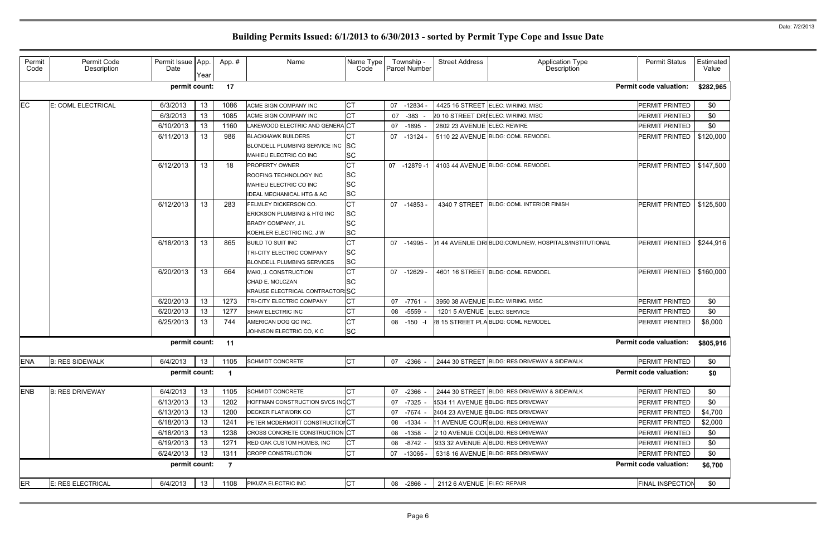| <b>Permit Status</b>          | Estimated<br>Value |
|-------------------------------|--------------------|
| <b>Permit code valuation:</b> | \$282,965          |
| PERMIT PRINTED                | \$0                |
| PERMIT PRINTED                | \$0                |
| PERMIT PRINTED                | \$0                |
| PERMIT PRINTED                | \$120,000          |
| <b>PERMIT PRINTED</b>         | \$147,500          |
| <b>PERMIT PRINTED</b>         | \$125,500          |
| <b>PERMIT PRINTED</b>         | \$244,916          |
| PERMIT PRINTED                | \$160,000          |
| PERMIT PRINTED                | \$0                |
| PERMIT PRINTED                | \$0                |
| PERMIT PRINTED                | \$8,000            |
| <b>Permit code valuation:</b> | \$805,916          |
| PERMIT PRINTED                | \$0                |
| <b>Permit code valuation:</b> | \$0                |
| PERMIT PRINTED                | \$0                |
| PERMIT PRINTED                | \$0                |
| PERMIT PRINTED                | \$4,700            |
| PERMIT PRINTED                | \$2,000            |
| <b>PERMIT PRINTED</b>         | \$0                |
| PERMIT PRINTED                | \$0                |
| PERMIT PRINTED                | \$0                |
| <b>Permit code valuation:</b> | \$6,700            |
| <b>FINAL INSPECTION</b>       | \$0                |

### Permit Code Permit Code Description Permit Issue App. Date Year App. # | Name Name Name Type Code Township - Parcel Number Street Address | Application Type Description EC E: COML ELECTRICAL 6/3/2013 13 1086 ACME SIGN COMPANY INC CT 07 -12834 - 4425 16 STREET ELEC: WIRING, MISC PERMIT PRINTED \$0  $6/3/2013$  | 13 | 1085 ACME SIGN COMPANY INC  $\begin{bmatrix} CT \\ 07 \end{bmatrix}$  07 -383 - 20 10 STREET DRIELEC: WIRING, MISC 6/10/2013 | 13 | 1160 LAKEWOOD ELECTRIC AND GENERA CT | 07 -1895 - 2802 23 AVENUE ELEC: REWIRE 6/11/2013 | 13 | 986 BLACKHAWK BUILDERS CT | 07 -13124 - 5110 22 AVENUE BLDG: COML REMODEL BLONDELL PLUMBING SERVICE INC SC MAHIEU ELECTRIC CO INC SC 6/12/2013 13 18 PROPERTY OWNER CT 07 -12879 -1 4103 44 AVENUE BLDG: COML REMODEL ROOFING TECHNOLOGY INC SC MAHIEU ELECTRIC CO INC SC IDEAL MECHANICAL HTG & AC SC  $6/12/2013$  |  $13$  | 283 FELMLEY DICKERSON CO.  $\begin{vmatrix} CT \end{vmatrix}$  07 -14853 - 4340 7 STREET BLDG: COML INTERIOR FINISH ERICKSON PLUMBING & HTG INC SC BRADY COMPANY, JL SC KOEHLER ELECTRIC INC, J W SC 6/18/2013 13 865 BUILD TO SUIT INC CT 1995 - 07 -14995 - 01 44 AVENUE DRIBLDG:COML/NEW, HOSPITALS/INSTITUTIONAL TRI-CITY ELECTRIC COMPANY SC BLONDELL PLUMBING SERVICES SC 6/20/2013 | 13 | 664 MAKI, J. CONSTRUCTION CT | 07 -12629 - 4601 16 STREET BLDG: COML REMODEL CHAD E. MOLCZAN SC KRAUSE ELECTRICAL CONTRACTOR SC  $6/20/2013$  | 13 | 1273 TRI-CITY ELECTRIC COMPANY  $\vert$ CT | 07 -7761 - 3950 38 AVENUE ELEC: WIRING, MISC 6/20/2013 | 13 | 1277 SHAW ELECTRIC INC |CT | 08 -5559 - | 1201 5 AVENUE ELEC: SERVICE PERMIT PRINTED | \$0  $6/25/2013$  | 13 | 744 AMERICAN DOG QC INC.  $\begin{array}{|l|}\n\hline\n\end{array}$  08 -150 -1 28,15 STREET PLA BLDG: COML REMODEL JOHNSON ELECTRIC CO, K C SC ENA B: RES SIDEWALK | 6/4/2013 | 13 | 1105 SCHMIDT CONCRETE | CT | 07 -2366 - 2444 30 STREET BLDG: RES DRIVEWAY & SIDEWALK ENB B: RES DRIVEWAY | 6/4/2013 | 13 | 1105 SCHMIDT CONCRETE | CT | 07 -2366 - 2444 30 STREET BLDG: RES DRIVEWAY & SIDEWALK 6/13/2013 | 13 | 1202 HOFFMAN CONSTRUCTION SVCS INCCT | 07 -7325 - 4534 11 AVENUE EBLDG: RES DRIVEWAY 6/13/2013 | 13 | 1200 DECKER FLATWORK CO CT 07 -7674 - 2404 23 AVENUE EBLDG: RES DRIVEWAY 6/18/2013 | 13 | 1241 PETER MCDERMOTT CONSTRUCTIONCT | 08 -1334 - 11 AVENUE COUR BLDG: RES DRIVEWAY 6/18/2013 | 13 | 1238 CROSS CONCRETE CONSTRUCTION CT | 08 -1358 - 210 AVENUE COUBLDG: RES DRIVEWAY  $6/19/2013$  | 13 | 1271 RED OAK CUSTOM HOMES, INC  $\overline{CT}$  08 -8742 - 933 32 AVENUE A BLDG: RES DRIVEWAY 6/24/2013 | 13 | 1311 CROPP CONSTRUCTION CT | 07 -13065 - 5318 16 AVENUE BLDG: RES DRIVEWAY **permit count: 17 Permit code valuation: \$282,965 permit count: 11 Permit code valuation: \$805,916 permit count: 1 Permit code valuation: \$0 permit count: 7 Permit code valuation: \$6,700**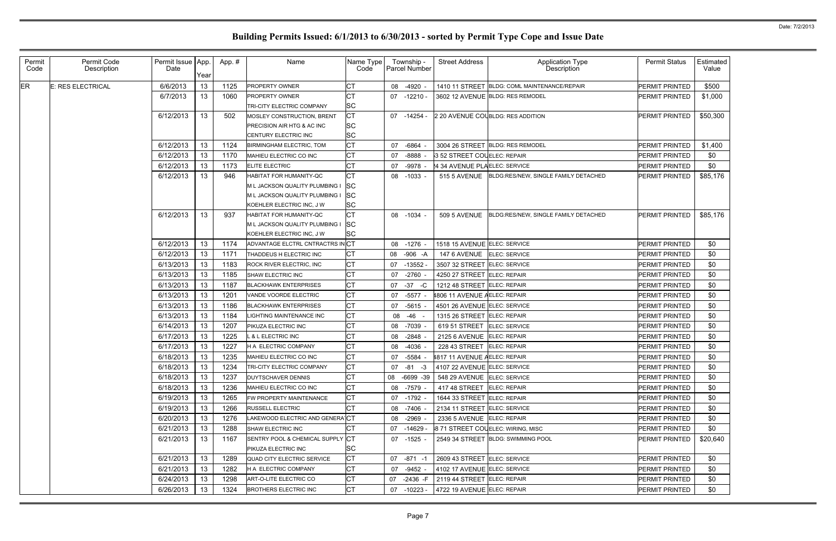| Permit<br>Code | Permit Code<br>Description | Permit Issue App.<br>Date | Year | App.# | Name                             | Name Type<br>Code |    | Township -<br>Parcel Number | <b>Street Address</b>        | <b>Application Type</b><br>Description       | <b>Permit Status</b>  | Estimated<br>Value |
|----------------|----------------------------|---------------------------|------|-------|----------------------------------|-------------------|----|-----------------------------|------------------------------|----------------------------------------------|-----------------------|--------------------|
| <b>ER</b>      | E: RES ELECTRICAL          | 6/6/2013                  | 13   | 1125  | <b>PROPERTY OWNER</b>            | <b>CT</b>         | 08 | $-4920 -$                   |                              | 1410 11 STREET BLDG: COML MAINTENANCE/REPAIR | PERMIT PRINTED        | \$500              |
|                |                            | 6/7/2013                  | 13   | 1060  | <b>PROPERTY OWNER</b>            | <b>CT</b>         | 07 | $-12210 -$                  |                              | 3602 12 AVENUE BLDG: RES REMODEL             | PERMIT PRINTED        | \$1,000            |
|                |                            |                           |      |       | <b>TRI-CITY ELECTRIC COMPANY</b> | <b>SC</b>         |    |                             |                              |                                              |                       |                    |
|                |                            | 6/12/2013                 | 13   | 502   | MOSLEY CONSTRUCTION, BRENT       | <b>CT</b>         |    | 07 -14254 -                 |                              | 2 20 AVENUE COLBLDG: RES ADDITION            | PERMIT PRINTED        | \$50,300           |
|                |                            |                           |      |       | PRECISION AIR HTG & AC INC       | <b>SC</b>         |    |                             |                              |                                              |                       |                    |
|                |                            |                           |      |       | CENTURY ELECTRIC INC             | <b>SC</b>         |    |                             |                              |                                              |                       |                    |
|                |                            | 6/12/2013                 | 13   | 1124  | <b>BIRMINGHAM ELECTRIC, TOM</b>  | <b>CT</b>         | 07 | $-6864$                     |                              | 3004 26 STREET BLDG: RES REMODEL             | PERMIT PRINTED        | \$1,400            |
|                |                            | 6/12/2013                 | 13   | 1170  | MAHIEU ELECTRIC CO INC           | <b>CT</b>         | 07 | $-8888 -$                   | 3 52 STREET COLELEC: REPAIR  |                                              | PERMIT PRINTED        | \$0                |
|                |                            | 6/12/2013                 | 13   | 1173  | <b>ELITE ELECTRIC</b>            | СT                | 07 | $-9978$                     | 4 34 AVENUE PLAELEC: SERVICE |                                              | PERMIT PRINTED        | \$0                |
|                |                            | 6/12/2013                 | 13   | 946   | <b>HABITAT FOR HUMANITY-QC</b>   | <b>CT</b>         | 08 | $-1033 -$                   | <b>515 5 AVENUE</b>          | BLDG:RES/NEW, SINGLE FAMILY DETACHED         | <b>PERMIT PRINTED</b> | \$85,176           |
|                |                            |                           |      |       | M L JACKSON QUALITY PLUMBING I   | <b>SC</b>         |    |                             |                              |                                              |                       |                    |
|                |                            |                           |      |       | M L JACKSON QUALITY PLUMBING I   | <b>SC</b>         |    |                             |                              |                                              |                       |                    |
|                |                            |                           |      |       | KOEHLER ELECTRIC INC, J W        | <b>SC</b>         |    |                             |                              |                                              |                       |                    |
|                |                            | 6/12/2013                 | 13   | 937   | HABITAT FOR HUMANITY-QC          | <b>CT</b>         |    | 08 -1034 -                  | <b>509 5 AVENUE</b>          | BLDG:RES/NEW, SINGLE FAMILY DETACHED         | PERMIT PRINTED        | \$85,176           |
|                |                            |                           |      |       | M L JACKSON QUALITY PLUMBING I   | <b>SC</b>         |    |                             |                              |                                              |                       |                    |
|                |                            |                           |      |       | KOEHLER ELECTRIC INC, J W        | <b>SC</b>         |    |                             |                              |                                              |                       |                    |
|                |                            | 6/12/2013                 | 13   | 1174  | ADVANTAGE ELCTRL CNTRACTRS IN CT |                   | 08 | $-1276 -$                   | 1518 15 AVENUE ELEC: SERVICE |                                              | <b>PERMIT PRINTED</b> | \$0                |
|                |                            | 6/12/2013                 | 13   | 1171  | THADDEUS H ELECTRIC INC          | СT                | 08 | $-906 - A$                  | 147 6 AVENUE ELEC: SERVICE   |                                              | PERMIT PRINTED        | \$0                |
|                |                            | 6/13/2013                 | 13   | 1183  | ROCK RIVER ELECTRIC, INC         | СT                | 07 | $-13552$                    | 3507 32 STREET ELEC: SERVICE |                                              | PERMIT PRINTED        | \$0                |
|                |                            | 6/13/2013                 | 13   | 1185  | SHAW ELECTRIC INC                | <b>CT</b>         | 07 | $-2760 -$                   | 4250 27 STREET ELEC: REPAIR  |                                              | PERMIT PRINTED        | \$0                |
|                |                            | 6/13/2013                 | 13   | 1187  | <b>BLACKHAWK ENTERPRISES</b>     | <b>CT</b>         | 07 | $-37 - C$                   | 1212 48 STREET ELEC: REPAIR  |                                              | PERMIT PRINTED        | \$0                |
|                |                            | 6/13/2013                 | 13   | 1201  | VANDE VOORDE ELECTRIC            | <b>CT</b>         | 07 | $-5577 -$                   | 1806 11 AVENUE AELEC: REPAIR |                                              | PERMIT PRINTED        | \$0                |
|                |                            | 6/13/2013                 | 13   | 1186  | <b>BLACKHAWK ENTERPRISES</b>     | <b>CT</b>         | 07 | $-5615 -$                   | 4501 26 AVENUE ELEC: SERVICE |                                              | PERMIT PRINTED        | \$0                |
|                |                            | 6/13/2013                 | 13   | 1184  | <b>LIGHTING MAINTENANCE INC</b>  | <b>CT</b>         | 08 | -46                         | 1315 26 STREET ELEC: REPAIR  |                                              | PERMIT PRINTED        | \$0                |
|                |                            | 6/14/2013                 | 13   | 1207  | PIKUZA ELECTRIC INC              | <b>CT</b>         | 08 | -7039                       | 619 51 STREET                | <b>ELEC: SERVICE</b>                         | PERMIT PRINTED        | \$0                |
|                |                            | 6/17/2013                 | 13   | 1225  | L & L ELECTRIC INC               | СT                | 08 | $-2848 -$                   | 2125 6 AVENUE ELEC: REPAIR   |                                              | PERMIT PRINTED        | \$0                |
|                |                            | 6/17/2013                 | 13   | 1227  | H A ELECTRIC COMPANY             | СT                | 08 | $-4036 -$                   | 228 43 STREET ELEC: REPAIR   |                                              | PERMIT PRINTED        | \$0                |
|                |                            | 6/18/2013                 | 13   | 1235  | MAHIEU ELECTRIC CO INC           | <b>CT</b>         | 07 | -5584 -                     | 1817 11 AVENUE AELEC: REPAIR |                                              | PERMIT PRINTED        | \$0                |
|                |                            | 6/18/2013                 | 13   | 1234  | TRI-CITY ELECTRIC COMPANY        | <b>CT</b>         |    | 07 -81 -3                   | 4107 22 AVENUE ELEC: SERVICE |                                              | <b>PERMIT PRINTED</b> | \$0                |
|                |                            | 6/18/2013                 | 13   | 1237  | <b>DUYTSCHAVER DENNIS</b>        | <b>CT</b>         |    | 08 -6699 -39                | 548 29 AVENUE ELEC: SERVICE  |                                              | <b>PERMIT PRINTED</b> | \$0                |
|                |                            | 6/18/2013                 | 13   | 1236  | MAHIEU ELECTRIC CO INC           | <b>CT</b>         | 08 | -7579 -                     | 417 48 STREET ELEC: REPAIR   |                                              | <b>PERMIT PRINTED</b> | \$0                |
|                |                            | 6/19/2013                 | 13   | 1265  | FW PROPERTY MAINTENANCE          | <b>CT</b>         | 07 | -1792 -                     | 1644 33 STREET ELEC: REPAIR  |                                              | <b>PERMIT PRINTED</b> | \$0                |
|                |                            | 6/19/2013                 | 13   | 1266  | <b>RUSSELL ELECTRIC</b>          | <b>CT</b>         | 08 | $-7406 -$                   | 2134 11 STREET ELEC: SERVICE |                                              | PERMIT PRINTED        | \$0                |
|                |                            | 6/20/2013                 | 13   | 1276  | LAKEWOOD ELECTRIC AND GENERA CT  |                   | 08 | $-2969$ -                   | 2336 5 AVENUE ELEC: REPAIR   |                                              | <b>PERMIT PRINTED</b> | \$0                |
|                |                            | 6/21/2013                 | 13   | 1288  | SHAW ELECTRIC INC                | СT                | 07 | $-14629$                    |                              | 871 STREET COLELEC: WIRING, MISC             | PERMIT PRINTED        | \$0                |
|                |                            | 6/21/2013                 | 13   | 1167  | SENTRY POOL & CHEMICAL SUPPLY CT |                   |    | 07 -1525 -                  |                              | 2549 34 STREET BLDG: SWIMMING POOL           | <b>PERMIT PRINTED</b> | \$20,640           |
|                |                            |                           |      |       | PIKUZA ELECTRIC INC              | <b>SC</b>         |    |                             |                              |                                              |                       |                    |
|                |                            | 6/21/2013                 | 13   | 1289  | QUAD CITY ELECTRIC SERVICE       | <b>CT</b>         | 07 | -871 -1                     | 2609 43 STREET ELEC: SERVICE |                                              | PERMIT PRINTED        | \$0                |
|                |                            | 6/21/2013                 | 13   | 1282  | H A ELECTRIC COMPANY             | <b>CT</b>         | 07 | -9452 -                     | 4102 17 AVENUE ELEC: SERVICE |                                              | PERMIT PRINTED        | \$0                |
|                |                            | 6/24/2013                 | 13   | 1298  | ART-O-LITE ELECTRIC CO           | <b>CT</b>         | 07 | -2436 -F                    | 2119 44 STREET ELEC: REPAIR  |                                              | PERMIT PRINTED        | \$0                |
|                |                            | 6/26/2013                 | 13   | 1324  | <b>BROTHERS ELECTRIC INC</b>     | <b>CT</b>         | 07 | $-10223 -$                  | 4722 19 AVENUE ELEC: REPAIR  |                                              | PERMIT PRINTED        | \$0                |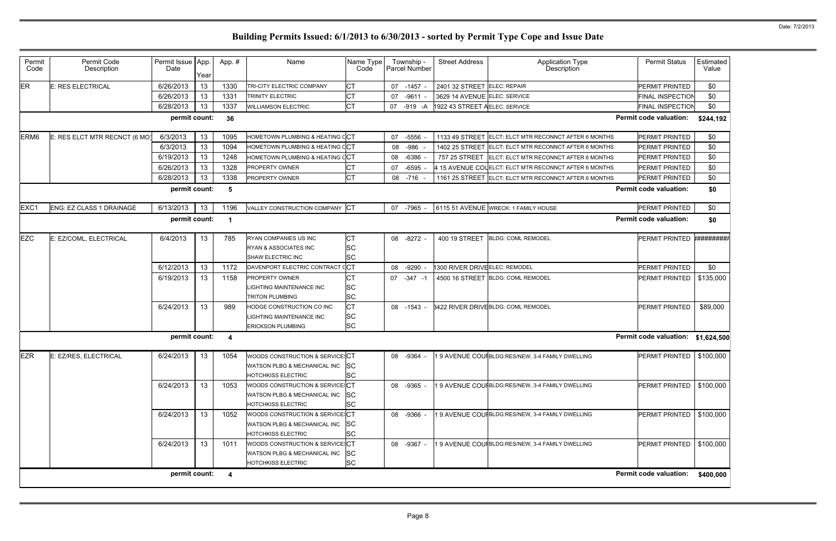| Permit<br>Code   | Permit Code<br>Description    | Permit Issue App<br>Date | Year | App.#                   | Name                                                                                                     | Name Type<br>Code                   |    | Township -<br>Parcel Number | <b>Street Address</b>          | <b>Application Type</b><br><b>Description</b>         | <b>Permit Status</b>               | Estimated<br>Value |
|------------------|-------------------------------|--------------------------|------|-------------------------|----------------------------------------------------------------------------------------------------------|-------------------------------------|----|-----------------------------|--------------------------------|-------------------------------------------------------|------------------------------------|--------------------|
| ER               | <b>E: RES ELECTRICAL</b>      | 6/26/2013                | 13   | 1330                    | TRI-CITY ELECTRIC COMPANY                                                                                | СT                                  | 07 | $-1457 -$                   | 2401 32 STREET ELEC: REPAIR    |                                                       | PERMIT PRINTED                     | \$0                |
|                  |                               | 6/26/2013                | 13   | 1331                    | TRINITY ELECTRIC                                                                                         | <b>CT</b>                           | 07 | $-9611 -$                   | 3629 14 AVENUE ELEC: SERVICE   |                                                       | FINAL INSPECTION                   | \$0                |
|                  |                               | 6/28/2013                | 13   | 1337                    | <b>WILLIAMSON ELECTRIC</b>                                                                               | <b>CT</b>                           | 07 | $-919 - A$                  | 1922 43 STREET A ELEC: SERVICE |                                                       | FINAL INSPECTION                   | \$0                |
|                  |                               | permit count:            |      | 36                      |                                                                                                          |                                     |    |                             |                                |                                                       | <b>Permit code valuation:</b>      | \$244,192          |
| ERM <sub>6</sub> | E: RES ELCT MTR RECNCT (6 MO) | 6/3/2013                 | 13   | 1095                    | HOMETOWN PLUMBING & HEATING CCT                                                                          |                                     | 07 | -5556                       |                                | 1133 49 STREET ELCT: ELCT MTR RECONNCT AFTER 6 MONTHS | PERMIT PRINTED                     | \$0                |
|                  |                               | 6/3/2013                 | 13   | 1094                    | HOMETOWN PLUMBING & HEATING CCT                                                                          |                                     | 08 | -986                        |                                | 1402 25 STREET ELCT: ELCT MTR RECONNCT AFTER 6 MONTHS | PERMIT PRINTED                     | \$0                |
|                  |                               | 6/19/2013                | 13   | 1248                    | HOMETOWN PLUMBING & HEATING CCT                                                                          |                                     | 08 | $-6386$                     | 757 25 STREET                  | ELCT: ELCT MTR RECONNCT AFTER 6 MONTHS                | PERMIT PRINTED                     | \$0                |
|                  |                               | 6/26/2013                | 13   | 1328                    | PROPERTY OWNER                                                                                           | <b>CT</b>                           | 07 | $-6595$                     |                                | 4 15 AVENUE COLELCT: ELCT MTR RECONNCT AFTER 6 MONTHS | PERMIT PRINTED                     | \$0                |
|                  |                               | 6/28/2013                | 13   | 1338                    | PROPERTY OWNER                                                                                           | <b>CT</b>                           | 08 | -716                        |                                | 1161 25 STREET ELCT: ELCT MTR RECONNCT AFTER 6 MONTHS | PERMIT PRINTED                     | \$0                |
|                  |                               | permit count:            |      | 5                       |                                                                                                          |                                     |    |                             |                                |                                                       | <b>Permit code valuation:</b>      | \$0                |
| EXC1             | ENG: EZ CLASS 1 DRAINAGE      | 6/13/2013                | 13   | 1196                    | VALLEY CONSTRUCTION COMPANY CT                                                                           |                                     | 07 | -7965 -                     |                                | 6115 51 AVENUE WRECK: 1 FAMILY HOUSE                  | PERMIT PRINTED                     | \$0                |
|                  |                               | permit count:            |      | $\blacktriangleleft$    |                                                                                                          |                                     |    |                             |                                |                                                       | <b>Permit code valuation:</b>      | \$0                |
| <b>EZC</b>       | E: EZ/COML, ELECTRICAL        | 6/4/2013                 | 13   | 785                     | RYAN COMPANIES US INC<br><b>RYAN &amp; ASSOCIATES INC</b><br>SHAW ELECTRIC INC                           | СT<br><b>SC</b><br><b>SC</b>        |    | 08 -8272 -                  | 400 19 STREET                  | <b>BLDG: COML REMODEL</b>                             | PERMIT PRINTED #########           |                    |
|                  |                               | 6/12/2013                | 13   | 1172                    | DAVENPORT ELECTRIC CONTRACT CCT                                                                          |                                     | 08 | $-9290 -$                   | 1300 RIVER DRIVEELEC: REMODEL  |                                                       | PERMIT PRINTED                     | \$0                |
|                  |                               | 6/19/2013                | 13   | 1158                    | <b>PROPERTY OWNER</b><br>LIGHTING MAINTENANCE INC<br><b>TRITON PLUMBING</b>                              | <b>CT</b><br><b>SC</b><br><b>SC</b> | 07 | $-347 - 1$                  |                                | 4500 16 STREET BLDG: COML REMODEL                     | <b>PERMIT PRINTED</b>              | \$135,000          |
|                  |                               | 6/24/2013                | 13   | 989                     | HODGE CONSTRUCTION CO INC<br>LIGHTING MAINTENANCE INC<br><b>ERICKSON PLUMBING</b>                        | <b>CT</b><br><b>SC</b><br><b>SC</b> | 08 | $-1543 -$                   |                                | 3422 RIVER DRIVE BLDG: COML REMODEL                   | PERMIT PRINTED                     | \$89,000           |
|                  |                               | permit count:            |      | 4                       |                                                                                                          |                                     |    |                             |                                |                                                       | Permit code valuation: \$1,624,500 |                    |
| <b>EZR</b>       | E: EZ/RES, ELECTRICAL         | 6/24/2013                | 13   | 1054                    | WOODS CONSTRUCTION & SERVICE: CT<br>WATSON PLBG & MECHANICAL INC<br><b>HOTCHKISS ELECTRIC</b>            | <b>SC</b><br><b>SC</b>              |    | 08 -9364 -                  |                                | 19 AVENUE COUIBLDG:RES/NEW, 3-4 FAMILY DWELLING       | PERMIT PRINTED   \$100,000         |                    |
|                  |                               | 6/24/2013                | 13   | 1053                    | WOODS CONSTRUCTION & SERVICE: CT<br><b>WATSON PLBG &amp; MECHANICAL INC</b><br><b>HOTCHKISS ELECTRIC</b> | <b>SC</b><br><b>SC</b>              |    | 08 -9365 -                  |                                | 19 AVENUE COUIBLDG:RES/NEW, 3-4 FAMILY DWELLING       | PERMIT PRINTED   \$100,000         |                    |
|                  |                               | 6/24/2013                | 13   | 1052                    | WOODS CONSTRUCTION & SERVICE: CT<br>WATSON PLBG & MECHANICAL INC<br><b>HOTCHKISS ELECTRIC</b>            | <b>SC</b><br><b>SC</b>              |    | 08 -9366 -                  |                                | I 9 AVENUE COUIBLDG:RES/NEW, 3-4 FAMILY DWELLING      | PERMIT PRINTED   \$100,000         |                    |
|                  |                               | 6/24/2013                | 13   | 1011                    | WOODS CONSTRUCTION & SERVICE: CT<br>WATSON PLBG & MECHANICAL INC<br><b>HOTCHKISS ELECTRIC</b>            | SC<br><b>SC</b>                     |    | 08 -9367 -                  |                                | 19 AVENUE COUI BLDG:RES/NEW, 3-4 FAMILY DWELLING      | PERMIT PRINTED   \$100,000         |                    |
|                  |                               | permit count:            |      | $\overline{\mathbf{4}}$ |                                                                                                          |                                     |    |                             |                                |                                                       | Permit code valuation: \$400,000   |                    |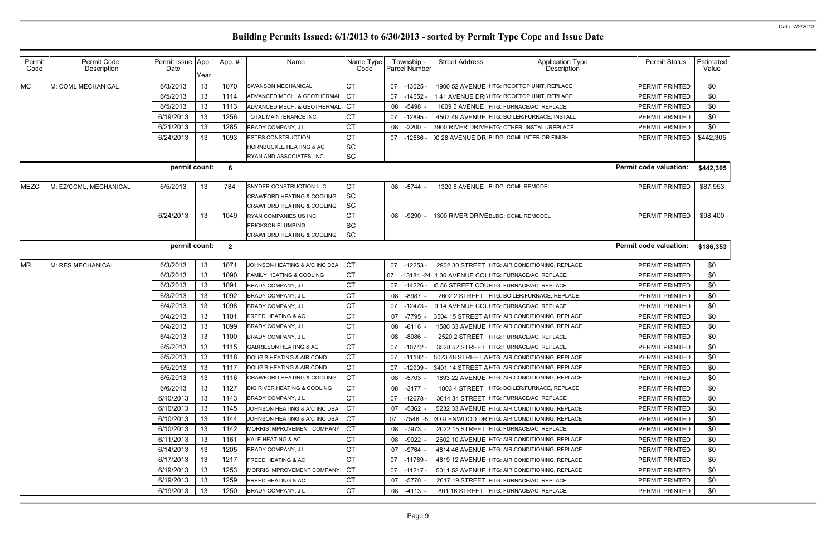| Permit<br>Code | Permit Code<br>Description | Permit Issue App.<br>Date | Year | App.#          | Name                                   | Name Type<br>Code |    | Township -<br>Parcel Number | <b>Street Address</b> | <b>Application Type</b><br><b>Description</b>              | <b>Permit Status</b>          | Estimated<br>Value |
|----------------|----------------------------|---------------------------|------|----------------|----------------------------------------|-------------------|----|-----------------------------|-----------------------|------------------------------------------------------------|-------------------------------|--------------------|
| <b>MC</b>      | M: COML MECHANICAL         | 6/3/2013                  | 13   | 1070           | <b>SWANSON MECHANICAL</b>              | <b>CT</b>         | 07 | $-13025$                    |                       | 1900 52 AVENUE HTG: ROOFTOP UNIT, REPLACE                  | PERMIT PRINTED                | \$0                |
|                |                            | 6/5/2013                  | 13   | 1114           | ADVANCED MECH. & GEOTHERMAL            | <b>CT</b>         | 07 | $-14552$                    |                       | 41 AVENUE DRINHTG: ROOFTOP UNIT, REPLACE                   | PERMIT PRINTED                | \$0                |
|                |                            | 6/5/2013                  | 13   | 1113           | ADVANCED MECH. & GEOTHERMAL            |                   | 08 | $-5498 -$                   |                       | 1609 5 AVENUE HTG: FURNACE/AC, REPLACE                     | PERMIT PRINTED                | \$0                |
|                |                            | 6/19/2013                 | 13   | 1256           | TOTAL MAINTENANCE INC                  | <b>CT</b>         | 07 | $-12895$                    |                       | 4507 49 AVENUE HTG: BOILER/FURNACE, INSTALL                | PERMIT PRINTED                | \$0                |
|                |                            | 6/21/2013                 | 13   | 1285           | BRADY COMPANY, J L                     | <b>CT</b>         | 08 | $-2200 -$                   |                       | 3900 RIVER DRIVEHTG: OTHER, INSTALL/REPLACE                | PERMIT PRINTED                | \$0                |
|                |                            | 6/24/2013                 | 13   | 1093           | <b>ESTES CONSTRUCTION</b>              | <b>CT</b>         | 07 | -12586 -                    |                       | 00 28 AVENUE DRIBLDG: COML INTERIOR FINISH                 | PERMIT PRINTED                | \$442,305          |
|                |                            |                           |      |                | <b>HORNBUCKLE HEATING &amp; AC</b>     | <b>SC</b>         |    |                             |                       |                                                            |                               |                    |
|                |                            |                           |      |                | RYAN AND ASSOCIATES, INC               | <b>SC</b>         |    |                             |                       |                                                            |                               |                    |
|                |                            | permit count:             |      | 6              |                                        |                   |    |                             |                       |                                                            | <b>Permit code valuation:</b> | \$442,305          |
| <b>MEZC</b>    | M: EZ/COML, MECHANICAL     | 6/5/2013                  | 13   | 784            | SNYDER CONSTRUCTION LLC                | СT                |    | 08 -5744 -                  | <b>1320 5 AVENUE</b>  | <b>BLDG: COML REMODEL</b>                                  | PERMIT PRINTED                | \$87,953           |
|                |                            |                           |      |                | <b>CRAWFORD HEATING &amp; COOLING</b>  | <b>SC</b>         |    |                             |                       |                                                            |                               |                    |
|                |                            |                           |      |                | <b>CRAWFORD HEATING &amp; COOLING</b>  | SC                |    |                             |                       |                                                            |                               |                    |
|                |                            | 6/24/2013                 | 13   | 1049           | RYAN COMPANIES US INC                  | <b>CT</b>         | 08 | $-9290 -$                   |                       | 1300 RIVER DRIVEBLDG: COML REMODEL                         | PERMIT PRINTED                | \$98,400           |
|                |                            |                           |      |                | <b>ERICKSON PLUMBING</b>               | <b>SC</b>         |    |                             |                       |                                                            |                               |                    |
|                |                            |                           |      |                | CRAWFORD HEATING & COOLING             | <b>SC</b>         |    |                             |                       |                                                            |                               |                    |
|                |                            | permit count:             |      | $\overline{2}$ |                                        |                   |    |                             |                       |                                                            | <b>Permit code valuation:</b> | \$186,353          |
| <b>MR</b>      | M: RES MECHANICAL          | 6/3/2013                  | 13   | 1071           | JOHNSON HEATING & A/C INC DBA          | СT                | 07 | $-12253$                    |                       | 2902 30 STREET HTG: AIR CONDITIONING, REPLACE              | PERMIT PRINTED                | \$0                |
|                |                            | 6/3/2013                  | 13   | 1090           | <b>FAMILY HEATING &amp; COOLING</b>    | <b>CT</b>         | 07 | -13184 -24                  |                       | 1 36 AVENUE COL HTG: FURNACE/AC, REPLACE                   | PERMIT PRINTED                | \$0                |
|                |                            | 6/3/2013                  | 13   | 1091           | BRADY COMPANY, J L                     | <b>CT</b>         | 07 | -14226 -                    |                       | 5 56 STREET COL HTG: FURNACE/AC, REPLACE                   | PERMIT PRINTED                | \$0                |
|                |                            | 6/3/2013                  | 13   | 1092           | BRADY COMPANY, J L                     | <b>CT</b>         | 08 | $-8987 -$                   | 2602 2 STREET         | HTG: BOILER/FURNACE, REPLACE                               | PERMIT PRINTED                | \$0                |
|                |                            | 6/4/2013                  | 13   | 1098           | BRADY COMPANY, J L                     | СT                | 07 | $-12473-$                   |                       | 9 14 AVENUE COL HTG: FURNACE/AC, REPLACE                   | PERMIT PRINTED                | \$0                |
|                |                            | 6/4/2013                  | 13   | 1101           | <b>FREED HEATING &amp; AC</b>          | <b>CT</b>         | 07 | -7795 -                     |                       | 3504 15 STREET AHTG: AIR CONDITIONING, REPLACE             | PERMIT PRINTED                | \$0                |
|                |                            | 6/4/2013                  | 13   | 1099           | BRADY COMPANY, J L                     | СT                | 08 | -6116 -                     |                       | 1580 33 AVENUE HTG: AIR CONDITIONING, REPLACE              | PERMIT PRINTED                | \$0                |
|                |                            | 6/4/2013                  | 13   | 1100           | <b>BRADY COMPANY, JL</b>               | <b>CT</b>         | 08 | $-8986 -$                   | 2520 2 STREET         | HTG: FURNACE/AC. REPLACE                                   | PERMIT PRINTED                | \$0                |
|                |                            | 6/5/2013                  | 13   | 1115           | <b>GABRILSON HEATING &amp; AC</b>      | <b>CT</b>         | 07 | -10742 -                    |                       | 3528 52 STREET HTG: FURNACE/AC, REPLACE                    | PERMIT PRINTED                | \$0                |
|                |                            | 6/5/2013                  | 13   | 1118           | DOUG'S HEATING & AIR COND              | <b>CT</b>         |    |                             |                       | 07 -11182 - 5023 48 STREET AHTG: AIR CONDITIONING, REPLACE | PERMIT PRINTED                | \$0                |
|                |                            | 6/5/2013                  | 13   | 1117           | DOUG'S HEATING & AIR COND              | <b>CT</b>         | 07 | -12909 -                    |                       | 3401 14 STREET AHTG: AIR CONDITIONING, REPLACE             | <b>PERMIT PRINTED</b>         | \$0                |
|                |                            | 6/5/2013                  | 13   | 1116           | <b>CRAWFORD HEATING &amp; COOLING</b>  | <b>CT</b>         | 08 | -5703 -                     |                       | 1893 22 AVENUE HTG: AIR CONDITIONING, REPLACE              | <b>PERMIT PRINTED</b>         | \$0                |
|                |                            | 6/6/2013                  | 13   | 1127           | <b>BIG RIVER HEATING &amp; COOLING</b> | <b>CT</b>         | 08 | $-3177 -$                   | <b>1803 4 STREET</b>  | HTG: BOILER/FURNACE, REPLACE                               | <b>PERMIT PRINTED</b>         | \$0                |
|                |                            | 6/10/2013                 | 13   | 1143           | <b>BRADY COMPANY, JL</b>               | <b>CT</b>         | 07 | -12678 -                    |                       | 3614 34 STREET HTG: FURNACE/AC, REPLACE                    | <b>PERMIT PRINTED</b>         | \$0                |
|                |                            | 6/10/2013                 | 13   | 1145           | JOHNSON HEATING & A/C INC DBA          | <b>CT</b>         | 07 | $-5362 -$                   |                       | 5232 33 AVENUE HTG: AIR CONDITIONING, REPLACE              | <b>PERMIT PRINTED</b>         | \$0                |
|                |                            | 6/10/2013                 | 13   | 1144           | JOHNSON HEATING & A/C INC DBA          | СT                | 07 | $-7546 - 5$                 |                       | 3 GLENWOOD DRHTG: AIR CONDITIONING, REPLACE                | <b>PERMIT PRINTED</b>         | \$0                |
|                |                            | 6/10/2013                 | 13   | 1142           | MORRIS IMPROVEMENT COMPANY             | Iст               | 08 | $-7973 -$                   |                       | 2022 15 STREET HTG: FURNACE/AC, REPLACE                    | <b>PERMIT PRINTED</b>         | \$0                |
|                |                            | 6/11/2013                 | 13   | 1161           | <b>KALE HEATING &amp; AC</b>           | <b>CT</b>         | 08 | $-9022 -$                   |                       | 2602 10 AVENUE HTG: AIR CONDITIONING, REPLACE              | <b>PERMIT PRINTED</b>         | \$0                |
|                |                            | 6/14/2013                 | 13   | 1205           | <b>BRADY COMPANY, JL</b>               | <b>CT</b>         | 07 | $-9764 -$                   |                       | 4814 46 AVENUE HTG: AIR CONDITIONING, REPLACE              | PERMIT PRINTED                | \$0                |
|                |                            | 6/17/2013                 | 13   | 1217           | <b>FREED HEATING &amp; AC</b>          | <b>CT</b>         | 07 | -11789 -                    |                       | 4619 12 AVENUE HTG: AIR CONDITIONING, REPLACE              | <b>PERMIT PRINTED</b>         | \$0                |
|                |                            | 6/19/2013                 | 13   | 1253           | MORRIS IMPROVEMENT COMPANY             | <b>CT</b>         | 07 | -11217 -                    |                       | 5011 52 AVENUE HTG: AIR CONDITIONING, REPLACE              | <b>PERMIT PRINTED</b>         | \$0                |
|                |                            | 6/19/2013                 | 13   | 1259           | <b>FREED HEATING &amp; AC</b>          | <b>CT</b>         | 07 | -5770 -                     |                       | 2617 19 STREET HTG: FURNACE/AC, REPLACE                    | <b>PERMIT PRINTED</b>         | \$0                |
|                |                            | 6/19/2013                 | 13   | 1250           | <b>BRADY COMPANY, JL</b>               | <b>CT</b>         | 08 | -4113 -                     | 801 16 STREET         | HTG: FURNACE/AC, REPLACE                                   | <b>PERMIT PRINTED</b>         | \$0                |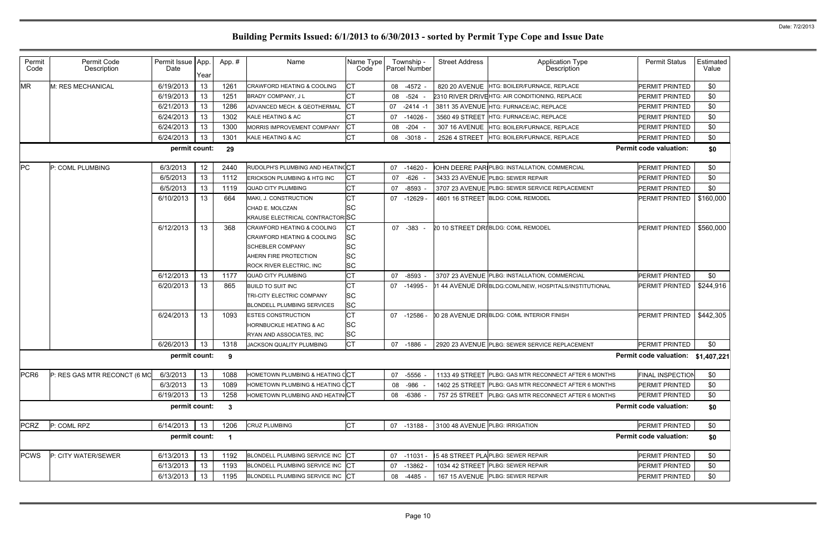| i  | Estimated<br>Value |  |
|----|--------------------|--|
| Đ  | \$0                |  |
| Đ  | \$0                |  |
| Đ  | \$0                |  |
| Ð: | \$0                |  |
| Ð: | \$0                |  |
| :D | \$0                |  |
| ı: | \$0                |  |
| Ð. | \$0                |  |

| Permit<br>Code   | Permit Code<br>Description   | Permit Issue App<br>Date | Year | App.#        | Name                                                                                                                                                | Name Type<br>Code                                      |    | Township -<br>Parcel Number | <b>Street Address</b>           | <b>Application Type</b><br><b>Description</b>          | <b>Permit Status</b>               | Estimated<br>Value |
|------------------|------------------------------|--------------------------|------|--------------|-----------------------------------------------------------------------------------------------------------------------------------------------------|--------------------------------------------------------|----|-----------------------------|---------------------------------|--------------------------------------------------------|------------------------------------|--------------------|
| <b>MR</b>        | M: RES MECHANICAL            | 6/19/2013                | 13   | 1261         | <b>CRAWFORD HEATING &amp; COOLING</b>                                                                                                               | СT                                                     | 08 | $-4572 -$                   |                                 | 820 20 AVENUE HTG: BOILER/FURNACE, REPLACE             | PERMIT PRINTED                     | \$0                |
|                  |                              | 6/19/2013                | 13   | 1251         | <b>BRADY COMPANY, JL</b>                                                                                                                            | CT                                                     | 08 | -524                        |                                 | 2310 RIVER DRIVEHTG: AIR CONDITIONING, REPLACE         | PERMIT PRINTED                     | \$0                |
|                  |                              | 6/21/2013                | 13   | 1286         | ADVANCED MECH. & GEOTHERMAL                                                                                                                         | Iст                                                    | 07 | $-2414 - 1$                 |                                 | 3811 35 AVENUE HTG: FURNACE/AC, REPLACE                | PERMIT PRINTED                     | \$0                |
|                  |                              | 6/24/2013                | 13   | 1302         | KALE HEATING & AC                                                                                                                                   | <b>CT</b>                                              | 07 | $-14026$                    |                                 | 3560 49 STREET HTG: FURNACE/AC, REPLACE                | PERMIT PRINTED                     | \$0                |
|                  |                              | 6/24/2013                | 13   | 1300         | <b>MORRIS IMPROVEMENT COMPANY</b>                                                                                                                   | СT                                                     | 08 | $-204$                      | 307 16 AVENUE                   | <b>HTG: BOILER/FURNACE, REPLACE</b>                    | PERMIT PRINTED                     | \$0                |
|                  |                              | 6/24/2013                | 13   | 1301         | KALE HEATING & AC                                                                                                                                   | <b>CT</b>                                              | 08 | $-3018 -$                   | 2526 4 STREET                   | <b>HTG: BOILER/FURNACE, REPLACE</b>                    | PERMIT PRINTED                     | \$0                |
|                  |                              | permit count:            |      | 29           |                                                                                                                                                     |                                                        |    |                             |                                 |                                                        | <b>Permit code valuation:</b>      | \$0                |
| PC               | P: COML PLUMBING             | 6/3/2013                 | 12   | 2440         | RUDOLPH'S PLUMBING AND HEATING CT                                                                                                                   |                                                        | 07 | $-14620$                    |                                 | OHN DEERE PAR PLBG: INSTALLATION, COMMERCIAL           | PERMIT PRINTED                     | \$0                |
|                  |                              | 6/5/2013                 | 13   | 1112         | <b>ERICKSON PLUMBING &amp; HTG INC</b>                                                                                                              | CТ                                                     | 07 | -626                        |                                 | 3433 23 AVENUE PLBG: SEWER REPAIR                      | PERMIT PRINTED                     | \$0                |
|                  |                              | 6/5/2013                 | 13   | 1119         | <b>QUAD CITY PLUMBING</b>                                                                                                                           | CT                                                     | 07 | $-8593 -$                   |                                 | 3707 23 AVENUE PLBG: SEWER SERVICE REPLACEMENT         | PERMIT PRINTED                     | \$0                |
|                  |                              | 6/10/2013                | 13   | 664          | MAKI, J. CONSTRUCTION<br>CHAD E. MOLCZAN<br><b>KRAUSE ELECTRICAL CONTRACTOR SC</b>                                                                  | СT<br><b>SC</b>                                        | 07 | $-12629$                    |                                 | 4601 16 STREET BLDG: COML REMODEL                      | PERMIT PRINTED                     | \$160,000          |
|                  |                              | 6/12/2013                | 13   | 368          | <b>CRAWFORD HEATING &amp; COOLING</b><br>CRAWFORD HEATING & COOLING<br><b>SCHEBLER COMPANY</b><br>AHERN FIRE PROTECTION<br>ROCK RIVER ELECTRIC, INC | СT<br><b>SC</b><br><b>SC</b><br><b>SC</b><br><b>SC</b> | 07 | -383                        |                                 | 20 10 STREET DRIBLDG: COML REMODEL                     | <b>PERMIT PRINTED</b>              | \$560,000          |
|                  |                              | 6/12/2013                | 13   | 1177         | QUAD CITY PLUMBING                                                                                                                                  | <b>CT</b>                                              | 07 | $-8593 -$                   |                                 | 3707 23 AVENUE PLBG: INSTALLATION, COMMERCIAL          | PERMIT PRINTED                     | \$0                |
|                  |                              | 6/20/2013                | 13   | 865          | <b>BUILD TO SUIT INC</b><br><b>TRI-CITY ELECTRIC COMPANY</b><br><b>BLONDELL PLUMBING SERVICES</b>                                                   | CT<br><b>SC</b><br><b>SC</b>                           | 07 | $-14995$                    |                                 | 11 44 AVENUE DRIBLDG:COML/NEW, HOSPITALS/INSTITUTIONAL | PERMIT PRINTED                     | \$244,916          |
|                  |                              | 6/24/2013                | 13   | 1093         | <b>ESTES CONSTRUCTION</b><br><b>HORNBUCKLE HEATING &amp; AC</b><br>RYAN AND ASSOCIATES, INC                                                         | <b>CT</b><br><b>SC</b><br><b>SC</b>                    | 07 | $-12586$                    |                                 | 00 28 AVENUE DRIBLDG: COML INTERIOR FINISH             | PERMIT PRINTED                     | \$442,305          |
|                  |                              | 6/26/2013                | 13   | 1318         | JACKSON QUALITY PLUMBING                                                                                                                            | <b>CT</b>                                              | 07 | -1886                       |                                 | 2920 23 AVENUE PLBG: SEWER SERVICE REPLACEMENT         | PERMIT PRINTED                     | \$0                |
|                  |                              | permit count:            |      | 9            |                                                                                                                                                     |                                                        |    |                             |                                 |                                                        | Permit code valuation: \$1,407,221 |                    |
| PCR <sub>6</sub> | P: RES GAS MTR RECONCT (6 MC | 6/3/2013                 | 13   | 1088         | HOMETOWN PLUMBING & HEATING CCT                                                                                                                     |                                                        | 07 | $-5556 -$                   |                                 | 1133 49 STREET PLBG: GAS MTR RECONNECT AFTER 6 MONTHS  | <b>FINAL INSPECTION</b>            | \$0                |
|                  |                              | 6/3/2013                 | 13   | 1089         | HOMETOWN PLUMBING & HEATING CCT                                                                                                                     |                                                        | 08 | $-986$                      |                                 | 1402 25 STREET PLBG: GAS MTR RECONNECT AFTER 6 MONTHS  | PERMIT PRINTED                     | \$0                |
|                  |                              | 6/19/2013                | 13   | 1258         | HOMETOWN PLUMBING AND HEATIN CT                                                                                                                     |                                                        | 08 | $-6386 -$                   | 757 25 STREET                   | PLBG: GAS MTR RECONNECT AFTER 6 MONTHS                 | PERMIT PRINTED                     | \$0                |
|                  |                              | permit count:            |      | $\mathbf{3}$ |                                                                                                                                                     |                                                        |    |                             |                                 |                                                        | <b>Permit code valuation:</b>      | \$0                |
| <b>PCRZ</b>      | P: COML RPZ                  | 6/14/2013                | 13   | 1206         | <b>CRUZ PLUMBING</b>                                                                                                                                | <b>ICT</b>                                             |    | 07 -13188 -                 | 3100 48 AVENUE PLBG: IRRIGATION |                                                        | PERMIT PRINTED                     | \$0                |
|                  |                              | permit count:            |      | -1           |                                                                                                                                                     |                                                        |    |                             |                                 |                                                        | <b>Permit code valuation:</b>      | \$0                |
| <b>PCWS</b>      | P: CITY WATER/SEWER          | 6/13/2013                | 13   | 1192         | BLONDELL PLUMBING SERVICE INC CT                                                                                                                    |                                                        | 07 | -11031 -                    |                                 | 5 48 STREET PLA PLBG: SEWER REPAIR                     | PERMIT PRINTED                     | \$0                |
|                  |                              | 6/13/2013                | 13   | 1193         | BLONDELL PLUMBING SERVICE INC CT                                                                                                                    |                                                        | 07 | $-13862$                    |                                 | 1034 42 STREET PLBG: SEWER REPAIR                      | PERMIT PRINTED                     | \$0                |
|                  |                              | 6/13/2013                | 13   | 1195         | BLONDELL PLUMBING SERVICE INC CT                                                                                                                    |                                                        | 08 | $-4485 -$                   |                                 | 167 15 AVENUE PLBG: SEWER REPAIR                       | PERMIT PRINTED                     | \$0                |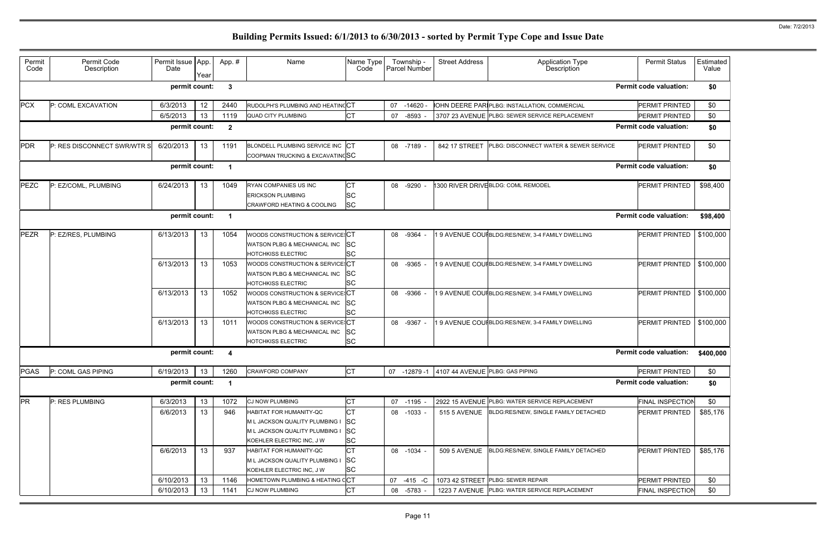| Permit<br>Code | Permit Code<br>Description  | Permit Issue App<br>Date | Year | App.#        | Name                                                      | Name Type<br>Code      | Township -<br>Parcel Number | <b>Street Address</b>           | <b>Application Type</b><br><b>Description</b>   | <b>Permit Status</b>          | Estimated<br>Value |
|----------------|-----------------------------|--------------------------|------|--------------|-----------------------------------------------------------|------------------------|-----------------------------|---------------------------------|-------------------------------------------------|-------------------------------|--------------------|
|                |                             | permit count:            |      | 3            |                                                           |                        |                             |                                 |                                                 | <b>Permit code valuation:</b> | \$0                |
| <b>PCX</b>     | P: COML EXCAVATION          | 6/3/2013                 | 12   | 2440         | RUDOLPH'S PLUMBING AND HEATING CT                         |                        | 07<br>$-14620$              |                                 | OHN DEERE PAR PLBG: INSTALLATION, COMMERCIAL    | PERMIT PRINTED                | \$0                |
|                |                             | 6/5/2013                 | 13   | 1119         | <b>QUAD CITY PLUMBING</b>                                 | <b>CT</b>              | $-8593 -$<br>07             |                                 | 3707 23 AVENUE PLBG: SEWER SERVICE REPLACEMENT  | PERMIT PRINTED                | \$0                |
|                |                             | permit count:            |      | $\mathbf{2}$ |                                                           |                        |                             |                                 |                                                 | <b>Permit code valuation:</b> | \$0                |
| <b>PDR</b>     | P: RES DISCONNECT SWR/WTR S | 6/20/2013                | 13   | 1191         | BLONDELL PLUMBING SERVICE INC CT                          |                        | 08 -7189 -                  | 842 17 STREET                   | PLBG: DISCONNECT WATER & SEWER SERVICE          | PERMIT PRINTED                | \$0                |
|                |                             |                          |      |              | COOPMAN TRUCKING & EXCAVATINGSC                           |                        |                             |                                 |                                                 |                               |                    |
|                |                             | permit count:            |      | $\mathbf 1$  |                                                           |                        |                             |                                 |                                                 | <b>Permit code valuation:</b> | \$0                |
| PEZC           | P: EZ/COML, PLUMBING        | 6/24/2013                | 13   | 1049         | <b>RYAN COMPANIES US INC</b>                              | IСТ                    | -9290<br>08                 |                                 | 1300 RIVER DRIVEBLDG: COML REMODEL              | PERMIT PRINTED                | \$98,400           |
|                |                             |                          |      |              | <b>ERICKSON PLUMBING</b>                                  | <b>SC</b>              |                             |                                 |                                                 |                               |                    |
|                |                             |                          |      |              | <b>CRAWFORD HEATING &amp; COOLING</b>                     | <b>SC</b>              |                             |                                 |                                                 |                               |                    |
|                |                             | permit count:            |      | $\mathbf 1$  |                                                           |                        |                             |                                 |                                                 | <b>Permit code valuation:</b> | \$98,400           |
| <b>PEZR</b>    | P: EZ/RES, PLUMBING         | 6/13/2013                | 13   | 1054         | WOODS CONSTRUCTION & SERVICE CT                           |                        | -9364<br>08                 |                                 | 9 AVENUE COUI BLDG:RES/NEW, 3-4 FAMILY DWELLING | PERMIT PRINTED                | \$100,000          |
|                |                             |                          |      |              | WATSON PLBG & MECHANICAL INC                              | <b>SC</b>              |                             |                                 |                                                 |                               |                    |
|                |                             |                          |      |              | <b>HOTCHKISS ELECTRIC</b>                                 | <b>SC</b>              |                             |                                 |                                                 |                               |                    |
|                |                             | 6/13/2013                | 13   | 1053         | WOODS CONSTRUCTION & SERVICE: CT                          |                        | $-9365 -$<br>08             |                                 | 9 AVENUE COUIBLDG:RES/NEW, 3-4 FAMILY DWELLING  | PERMIT PRINTED                | \$100,000          |
|                |                             |                          |      |              | WATSON PLBG & MECHANICAL INC                              | <b>SC</b>              |                             |                                 |                                                 |                               |                    |
|                |                             |                          |      |              | <b>HOTCHKISS ELECTRIC</b>                                 | <b>SC</b>              |                             |                                 |                                                 |                               |                    |
|                |                             | 6/13/2013                | 13   | 1052         | WOODS CONSTRUCTION & SERVICE: CT                          |                        | 08<br>$-9366 -$             |                                 | 9 AVENUE COUIBLDG:RES/NEW, 3-4 FAMILY DWELLING  | PERMIT PRINTED                | \$100,000          |
|                |                             |                          |      |              | WATSON PLBG & MECHANICAL INC                              | <b>SC</b>              |                             |                                 |                                                 |                               |                    |
|                |                             |                          |      |              | <b>HOTCHKISS ELECTRIC</b>                                 | <b>SC</b>              |                             |                                 |                                                 |                               |                    |
|                |                             | 6/13/2013                | 13   | 1011         | WOODS CONSTRUCTION & SERVICE: CT                          |                        | 08<br>$-9367 -$             |                                 | 9 AVENUE COUI BLDG:RES/NEW, 3-4 FAMILY DWELLING | PERMIT PRINTED                | \$100,000          |
|                |                             |                          |      |              | WATSON PLBG & MECHANICAL INC<br><b>HOTCHKISS ELECTRIC</b> | <b>SC</b><br><b>SC</b> |                             |                                 |                                                 |                               |                    |
|                |                             | permit count:            |      | 4            |                                                           |                        |                             |                                 |                                                 | <b>Permit code valuation:</b> | \$400,000          |
|                |                             |                          |      |              |                                                           |                        |                             |                                 |                                                 |                               |                    |
| <b>PGAS</b>    | P: COML GAS PIPING          | 6/19/2013                | 13   | 1260         | <b>CRAWFORD COMPANY</b>                                   | <b>CT</b>              | 07 -12879 -1                | 4107 44 AVENUE PLBG: GAS PIPING |                                                 | PERMIT PRINTED                | \$0                |
|                |                             | permit count:            |      | $\mathbf 1$  |                                                           |                        |                             |                                 |                                                 | <b>Permit code valuation:</b> | \$0                |
| PR             | P: RES PLUMBING             | 6/3/2013                 | 13   | 1072         | CJ NOW PLUMBING                                           | IСТ                    | $-1195 -$<br>07             |                                 | 2922 15 AVENUE PLBG: WATER SERVICE REPLACEMENT  | FINAL INSPECTION              | \$0                |
|                |                             | 6/6/2013                 | 13   | 946          | HABITAT FOR HUMANITY-QC                                   | <b>CT</b>              | $-1033 -$<br>08             | 515 5 AVENUE                    | BLDG:RES/NEW, SINGLE FAMILY DETACHED            | PERMIT PRINTED                | \$85,176           |
|                |                             |                          |      |              | M L JACKSON QUALITY PLUMBING I                            | SC                     |                             |                                 |                                                 |                               |                    |
|                |                             |                          |      |              | M L JACKSON QUALITY PLUMBING I                            | <b>SC</b>              |                             |                                 |                                                 |                               |                    |
|                |                             |                          |      |              | KOEHLER ELECTRIC INC, J W                                 | <b>SC</b>              |                             |                                 |                                                 |                               |                    |
|                |                             | 6/6/2013                 | 13   | 937          | HABITAT FOR HUMANITY-QC                                   | <b>CT</b>              | $-1034 -$<br>08             | <b>509 5 AVENUE</b>             | BLDG:RES/NEW, SINGLE FAMILY DETACHED            | PERMIT PRINTED                | \$85,176           |
|                |                             |                          |      |              | M L JACKSON QUALITY PLUMBING I                            | <b>SC</b>              |                             |                                 |                                                 |                               |                    |
|                |                             |                          |      |              | KOEHLER ELECTRIC INC, J W                                 | <b>SC</b>              |                             |                                 |                                                 |                               |                    |
|                |                             | 6/10/2013                | 13   | 1146         | HOMETOWN PLUMBING & HEATING CCT                           |                        | 07<br>$-415 - C$            |                                 | 1073 42 STREET PLBG: SEWER REPAIR               | PERMIT PRINTED                | \$0                |
|                |                             | 6/10/2013                | 13   | 1141         | <b>CJ NOW PLUMBING</b>                                    | <b>CT</b>              | $-5783 -$<br>08             |                                 | 1223 7 AVENUE PLBG: WATER SERVICE REPLACEMENT   | FINAL INSPECTION              | \$0                |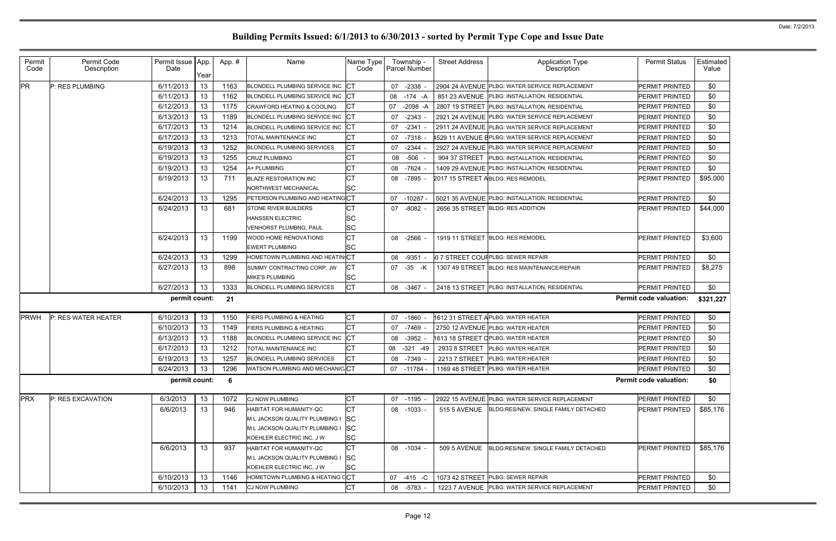| Permit<br>Code                                             | Permit Code<br>Description | Permit Issue   App.<br>Date | Year | App.# | Name                                  | Name Type<br>Code | Township -<br>Parcel Number | <b>Street Address</b> | <b>Application Type</b><br>Description           | <b>Permit Status</b>          | Estimated<br>Value |
|------------------------------------------------------------|----------------------------|-----------------------------|------|-------|---------------------------------------|-------------------|-----------------------------|-----------------------|--------------------------------------------------|-------------------------------|--------------------|
| <b>PR</b>                                                  | P: RES PLUMBING            | 6/11/2013                   | 13   | 1163  | BLONDELL PLUMBING SERVICE INC CT      |                   | $-2338 -$<br>07             |                       | 2904 24 AVENUE PLBG: WATER SERVICE REPLACEMENT   | PERMIT PRINTED                | \$0                |
|                                                            |                            | 6/11/2013                   | 13   | 1162  | BLONDELL PLUMBING SERVICE INC CT      |                   | 08<br>-174 -A               |                       | 851 23 AVENUE PLBG: INSTALLATION, RESIDENTIAL    | PERMIT PRINTED                | \$0                |
|                                                            |                            | 6/12/2013                   | 13   | 1175  | <b>CRAWFORD HEATING &amp; COOLING</b> | ЮT                | $-2098 - A$<br>07           |                       | 2807 19 STREET PLBG: INSTALLATION, RESIDENTIAL   | PERMIT PRINTED                | \$0                |
|                                                            |                            | 6/13/2013                   | 13   | 1189  | BLONDELL PLUMBING SERVICE INC CT      |                   | -2343<br>07                 |                       | 2921 24 AVENUE IPLBG: WATER SERVICE REPLACEMENT  | PERMIT PRINTED                | \$0                |
|                                                            |                            | 6/17/2013                   | 13   | 1214  | BLONDELL PLUMBING SERVICE INC CT      |                   | $-2341$<br>07               |                       | 2911 24 AVENUE PLBG: WATER SERVICE REPLACEMENT   | PERMIT PRINTED                | \$0                |
|                                                            |                            | 6/17/2013                   | 13   | 1213  | TOTAL MAINTENANCE INC                 | CТ                | 07<br>-7318                 |                       | 1529 11 AVENUE ElPLBG: WATER SERVICE REPLACEMENT | PERMIT PRINTED                | \$0                |
|                                                            |                            | 6/19/2013                   | 13   | 1252  | <b>BLONDELL PLUMBING SERVICES</b>     | <b>CT</b>         | 07<br>-2344                 |                       | 2927 24 AVENUE PLBG: WATER SERVICE REPLACEMENT   | PERMIT PRINTED                | \$0                |
|                                                            |                            | 6/19/2013                   | 13   | 1255  | <b>CRUZ PLUMBING</b>                  | <b>CT</b>         | -506<br>08                  | 904 37 STREET         | <b>PLBG: INSTALLATION, RESIDENTIAL</b>           | PERMIT PRINTED                | \$0                |
|                                                            |                            | 6/19/2013                   | 13   | 1254  | A+ PLUMBING                           | CT                | -7624<br>08                 |                       | 1409 29 AVENUE PLBG: INSTALLATION, RESIDENTIAL   | PERMIT PRINTED                | \$0                |
|                                                            |                            | 6/19/2013                   | 13   | 711   | <b>BLAZE RESTORATION INC</b>          | IСТ               | 08<br>-7895 -               |                       | 2017 15 STREET ABLDG: RES REMODEL                | PERMIT PRINTED                | \$95,000           |
|                                                            |                            |                             |      |       | NORTHWEST MECHANICAL                  | <b>SC</b>         |                             |                       |                                                  |                               |                    |
|                                                            |                            | 6/24/2013                   | 13   | 1295  | PETERSON PLUMBING AND HEATINGCT       |                   | 07<br>-10287 -              |                       | 5021 35 AVENUE PLBG: INSTALLATION, RESIDENTIAL   | PERMIT PRINTED                | \$0                |
|                                                            |                            | 6/24/2013                   | 13   | 681   | <b>STONE RIVER BUILDERS</b>           | СT                | $-8082 -$<br>07             |                       | 2656 35 STREET BLDG: RES ADDITION                | PERMIT PRINTED                | \$44,000           |
|                                                            |                            |                             |      |       | <b>HANSSEN ELECTRIC</b>               | <b>SC</b>         |                             |                       |                                                  |                               |                    |
|                                                            |                            |                             |      |       | VENHORST PLUMBNG, PAUL                | <b>SC</b>         |                             |                       |                                                  |                               |                    |
|                                                            |                            | 6/24/2013                   | 13   | 1199  | <b>WOOD HOME RENOVATIONS</b>          | CT                | 08<br>-2566 -               |                       | 1919 11 STREET BLDG: RES REMODEL                 | PERMIT PRINTED                | \$3,600            |
|                                                            |                            |                             |      |       | <b>EWERT PLUMBING</b>                 | lsc               |                             |                       |                                                  |                               |                    |
|                                                            |                            | 6/24/2013                   | 13   | 1299  | HOMETOWN PLUMBING AND HEATIN CT       |                   | $-9351 -$<br>08             |                       | 0 7 STREET COUF PLBG: SEWER REPAIR               | PERMIT PRINTED                | \$0                |
|                                                            |                            | 6/27/2013                   | 13   | 898   | SUMMY CONTRACTING CORP, JW            | CТ                | 07 -35 -K                   |                       | 1307 49 STREET BLDG: RES MAINTENANCE/REPAIR      | PERMIT PRINTED                | \$8,275            |
|                                                            |                            |                             |      |       | <b>MIKE'S PLUMBING</b>                | <b>SC</b>         |                             |                       |                                                  |                               |                    |
|                                                            |                            | 6/27/2013                   | 13   | 1333  | <b>BLONDELL PLUMBING SERVICES</b>     | СT                | 08 -3467 -                  |                       | 2418 13 STREET PLBG: INSTALLATION, RESIDENTIAL   | PERMIT PRINTED                | \$0                |
| permit count:<br>21                                        |                            |                             |      |       |                                       |                   |                             |                       |                                                  | <b>Permit code valuation:</b> | \$321,227          |
| <b>PRWH</b>                                                | P: RES WATER HEATER        | 6/10/2013                   | 13   | 1150  | <b>FIERS PLUMBING &amp; HEATING</b>   | IСТ               | 07<br>$-1860$               |                       | 1612 31 STREET APLBG: WATER HEATER               | PERMIT PRINTED                | \$0                |
|                                                            |                            | 6/10/2013                   | 13   | 1149  | <b>FIERS PLUMBING &amp; HEATING</b>   | <b>CT</b>         | 07<br>-7469                 |                       | 2750 12 AVENUE PLBG: WATER HEATER                | PERMIT PRINTED                | \$0                |
|                                                            |                            | 6/13/2013                   | 13   | 1188  | BLONDELL PLUMBING SERVICE INC CT      |                   | 08<br>-3952                 |                       | 1613 18 STREET CPLBG: WATER HEATER               | PERMIT PRINTED                | \$0                |
|                                                            |                            | 6/17/2013                   | 13   | 1212  | <b>TOTAL MAINTENANCE INC</b>          | IСT               | $-321$<br>08<br>-49         |                       | 2933 8 STREET PLBG: WATER HEATER                 | PERMIT PRINTED                | \$0                |
|                                                            |                            | 6/19/2013                   | 13   | 1257  | <b>BLONDELL PLUMBING SERVICES</b>     | <b>CT</b>         | 08 -7349 -                  |                       | 2213 7 STREET PLBG: WATER HEATER                 | PERMIT PRINTED                | \$0                |
|                                                            |                            | 6/24/2013                   | 13   | 1296  | WATSON PLUMBING AND MECHANIC CT       |                   | 07 -11784 -                 |                       | 1169 48 STREET PLBG: WATER HEATER                | PERMIT PRINTED                | \$0                |
| permit count:<br><b>Permit code valuation:</b><br>\$0<br>6 |                            |                             |      |       |                                       |                   |                             |                       |                                                  |                               |                    |
| <b>PRX</b>                                                 | P: RES EXCAVATION          | 6/3/2013                    | 13   | 1072  | CJ NOW PLUMBING                       | <b>CT</b>         | 07<br>-1195 -               |                       | 2922 15 AVENUE PLBG: WATER SERVICE REPLACEMENT   | PERMIT PRINTED                | \$0                |
|                                                            |                            | 6/6/2013                    | 13   | 946   | HABITAT FOR HUMANITY-QC               | <b>ICT</b>        | $-1033 -$<br>08             | 515 5 AVENUE          | BLDG:RES/NEW, SINGLE FAMILY DETACHED             | PERMIT PRINTED                | \$85,176           |
|                                                            |                            |                             |      |       | M L JACKSON QUALITY PLUMBING I        | <b>SC</b>         |                             |                       |                                                  |                               |                    |
|                                                            |                            |                             |      |       | M L JACKSON QUALITY PLUMBING I        | <b>SC</b>         |                             |                       |                                                  |                               |                    |
|                                                            |                            |                             |      |       | KOEHLER ELECTRIC INC, J W             | <b>SC</b>         |                             |                       |                                                  |                               |                    |
|                                                            |                            | 6/6/2013                    | 13   | 937   | HABITAT FOR HUMANITY-QC               | <b>CT</b>         | 08 -1034 -                  | <b>509 5 AVENUE</b>   | BLDG:RES/NEW, SINGLE FAMILY DETACHED             | PERMIT PRINTED                | \$85,176           |
|                                                            |                            |                             |      |       | M L JACKSON QUALITY PLUMBING I        | SC                |                             |                       |                                                  |                               |                    |
|                                                            |                            |                             |      |       | KOEHLER ELECTRIC INC, J W             | <b>SC</b>         |                             |                       |                                                  |                               |                    |
|                                                            |                            | 6/10/2013                   | 13   | 1146  | HOMETOWN PLUMBING & HEATING CCT       |                   | 07<br>$-415 - C$            |                       | 1073 42 STREET PLBG: SEWER REPAIR                | PERMIT PRINTED                | \$0                |
|                                                            |                            | 6/10/2013                   | 13   | 1141  | <b>CJ NOW PLUMBING</b>                | CT                | 08<br>-5783 -               |                       | 1223 7 AVENUE PLBG: WATER SERVICE REPLACEMENT    | PERMIT PRINTED                | \$0                |